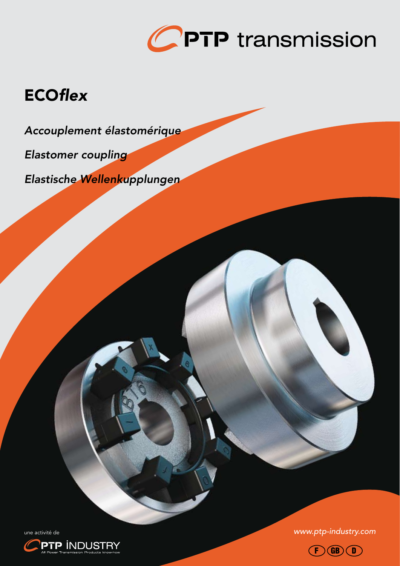

# ECO*flex*

*Accouplement élastomérique*

*Elastomer coupling*

*Elastische Wellenkupplungen*

une activité de *www.ptp-industry.com*



**PTP INDUSTRY**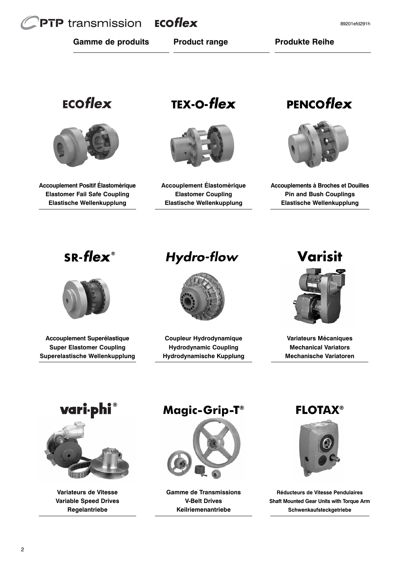**Gamme de produits Product range Produkte Reihe**

# ECOflex



**Accouplement Positif Élastomèrique Elastomer Fail Safe Coupling Elastische Wellenkupplung**

**TEX-O-flex** 



**Accouplement Élastomèrique Elastomer Coupling Elastische Wellenkupplung**

# **PENCOflex**



**Accouplements à Broches et Douilles Pin and Bush Couplings Elastische Wellenkupplung**

# $SR$ -flex<sup>®</sup>



**Accouplement Superélastique Super Elastomer Coupling Superelastische Wellenkupplung**

# **Hydro-flow**



**Coupleur Hydrodynamique Hydrodynamic Coupling Hydrodynamische Kupplung**

# Varisit



**Variateurs Mécaniques Mechanical Variators Mechanische Variatoren**





**Variateurs de Vitesse Variable Speed Drives Regelantriebe**

# **Magic-Grip-T®**



**Gamme de Transmissions V-Belt Drives Keilriemenantriebe**

**FLOTAX®**



**Réducteurs de Vitesse Pendulaires Shaft Mounted Gear Units with Torque Arm Schwenkaufsteckgetriebe**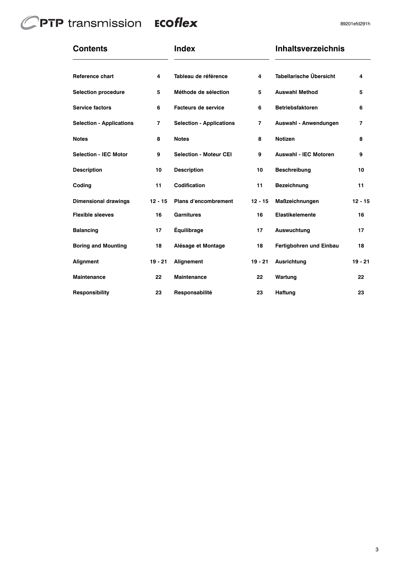# CPTP transmission Ecoflex

| <b>Contents</b>                 |                | <b>Index</b>                    |                | <b>Inhaltsverzeichnis</b>    |                |  |  |  |
|---------------------------------|----------------|---------------------------------|----------------|------------------------------|----------------|--|--|--|
| <b>Reference chart</b>          | 4              | Tableau de référence            | 4              | Tabellarische Übersicht      | 4              |  |  |  |
| <b>Selection procedure</b>      | 5              | Méthode de sélection            | 5              | <b>Auswahl Method</b>        | 5              |  |  |  |
| <b>Service factors</b>          | 6              | <b>Facteurs de service</b>      | 6              | <b>Betriebsfaktoren</b>      | 6              |  |  |  |
| <b>Selection - Applications</b> | $\overline{7}$ | <b>Selection - Applications</b> | $\overline{7}$ | Auswahl - Anwendungen        | $\overline{7}$ |  |  |  |
| <b>Notes</b>                    | 8              | <b>Notes</b>                    | 8              | <b>Notizen</b>               | 8              |  |  |  |
| <b>Selection - IEC Motor</b>    | 9              | <b>Selection - Moteur CEI</b>   | 9              | <b>Auswahl - IEC Motoren</b> | 9              |  |  |  |
| <b>Description</b>              | 10             | <b>Description</b>              | 10             | <b>Beschreibung</b>          | 10             |  |  |  |
| Coding                          | 11             | Codification                    | 11             | Bezeichnung                  | 11             |  |  |  |
| <b>Dimensional drawings</b>     | $12 - 15$      | <b>Plans d'encombrement</b>     | $12 - 15$      | Maßzeichnungen               | $12 - 15$      |  |  |  |
| <b>Flexible sleeves</b>         | 16             | <b>Garnitures</b>               | 16             | <b>Elastikelemente</b>       | 16             |  |  |  |
| <b>Balancing</b>                | 17             | Équilibrage                     | 17             | Auswuchtung                  | 17             |  |  |  |
| <b>Boring and Mounting</b>      | 18             | Alésage et Montage              | 18             | Fertigbohren und Einbau      | 18             |  |  |  |
| Alignment                       | $19 - 21$      | Alignement                      | $19 - 21$      | Ausrichtung                  | $19 - 21$      |  |  |  |
| <b>Maintenance</b>              | 22             | <b>Maintenance</b>              | 22             | Wartung                      | 22             |  |  |  |
| Responsibility                  | 23             | Responsabilité                  | 23             | <b>Haftung</b>               | 23             |  |  |  |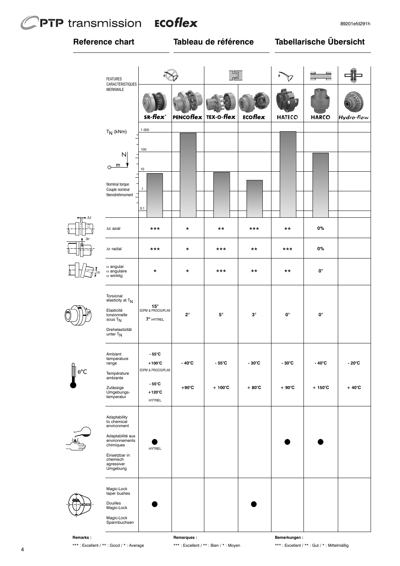# PTP transmission Ecoflex

# **Reference chart Tableau de référence**

# **Tabellarische Übersicht**

|             | <b>FEATURES</b><br>CARACTÉRISTIQUES                                                                                                                  |                                                                                                                  |                           |                                     |                                    | ٥                                  | $\overline{272}$<br>$\frac{2}{2}$<br>$\mathbb{Z}$<br>mа |                                    |
|-------------|------------------------------------------------------------------------------------------------------------------------------------------------------|------------------------------------------------------------------------------------------------------------------|---------------------------|-------------------------------------|------------------------------------|------------------------------------|---------------------------------------------------------|------------------------------------|
|             | MERKMALE                                                                                                                                             | SR-flex <sup>®</sup>                                                                                             | PENCOflex                 | TEX-O-flex                          | ECOflex                            | <b>HATECO</b>                      | <b>HARCO</b>                                            | Hydro-flow                         |
|             | $T_N$ (kNm)                                                                                                                                          | 1000                                                                                                             |                           |                                     |                                    |                                    |                                                         |                                    |
|             | N<br>m<br>$\circ$<br>Nominal torque<br>Couple nominal<br>Nenndrehmoment                                                                              | 100<br>$10$<br>1<br>0,1                                                                                          |                           |                                     |                                    |                                    |                                                         |                                    |
| ۰ΔE         | $\Delta E$ axial                                                                                                                                     | $***$                                                                                                            | $\star$                   | $***$                               | $***$                              | $***$                              | 0%                                                      |                                    |
|             | $\Delta r$ radial                                                                                                                                    | $***$                                                                                                            | $\star$                   | $***$                               | $***$                              | $***$                              | 0%                                                      |                                    |
|             | $\alpha$ angular<br>$\alpha$ angulaire<br>$\alpha$ winklig                                                                                           | $\star$                                                                                                          | $\star$                   | $***$                               | $***$                              | $***$                              | 0°                                                      |                                    |
|             | Torsional<br>elasticity at TN<br>Elasticité<br>torsionnelle<br>sous $T_N$<br>Drehelastizität<br>unter $T_N$                                          | $15^\circ$ EDPM & PROCOUPLAN<br>7° HYTREL                                                                        | $2^{\circ}$               | $\mathbf{5}^{\circ}$                | $3^{\circ}$                        | $\mathbf{0}^\circ$                 | $\mathbf{0}^\circ$                                      |                                    |
| $\theta$ °C | Ambient<br>temperature<br>range<br>Température<br>ambiante<br>Zulässige<br>Umgebungs-<br>temperatur                                                  | $-55^{\circ}$ C<br>$+100^{\circ}$ C<br>EDPM & PROCOUPLAN<br>$-55^{\circ}$ C<br>$+120^{\circ}$ C<br><b>HYTREL</b> | - 40°C<br>$+90^{\circ}$ C | $-55^{\circ}$ C<br>$+100^{\circ}$ C | $-30^{\circ}$ C<br>$+80^{\circ}$ C | $-30^{\circ}$ C<br>$+90^{\circ}$ C | $-40^{\circ}$ C<br>$+150^{\circ}$ C                     | $-20^{\circ}$ C<br>$+40^{\circ}$ C |
|             | Adaptability<br>to chemical<br>environment<br>Adaptabilité aux<br>environnements<br>chimiques<br>Einsetzbar in<br>chemisch<br>agressiver<br>Umgebung | <b>HYTREL</b>                                                                                                    |                           |                                     |                                    |                                    |                                                         |                                    |
|             | Magic-Lock<br>taper bushes<br>Douilles<br>Magic-Lock<br>Magic-Lock<br>Spannbuchsen                                                                   |                                                                                                                  |                           |                                     |                                    |                                    |                                                         |                                    |





**Remarks :**

\*\*\* : Excellent / \*\* : Good / \* : Average

**Remarques :** \*\*\* : Excellent / \*\* : Bien / \* : Moyen **Bemerkungen :** \*\*\* : Excellent / \*\* : Gut / \* : Mittelmäßig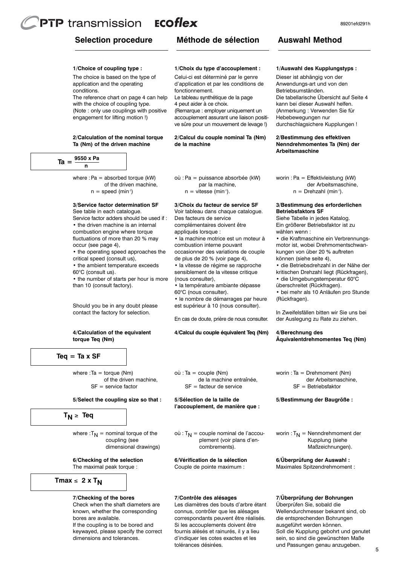# **Méthode de sélection**

# **Auswahl Method**

#### **1/Choice of coupling type :**

The choice is based on the type of application and the operating conditions.

The reference chart on page 4 can help with the choice of coupling type. (Note : only use couplings with positive engagement for lifting motion !)

#### **2/Calculation of the nominal torque Ta (Nm) of the driven machine**

| 12 | 9550 x Pa |
|----|-----------|
|    |           |

where  $Pa =$  absorbed torque (kW) of the driven machine,  $n = speed (min<sup>-1</sup>)$ 

### **3/Service factor determination SF**

See table in each catalogue. Service factor adders should be used if : • the driven machine is an internal combustion engine where torque fluctuations of more than 20 % may occur (see page 4),

• the operating speed approaches the critical speed (consult us), • the ambient temperature exceeds 60°C (consult us).

• the number of starts per hour is more than 10 (consult factory).

Should you be in any doubt please contact the factory for selection.

#### **4/Calculation of the equivalent torque Teq (Nm)**

**Teq = Ta x SF**

where  $:Ta = torque (Nm)$ of the driven machine, SF = service factor

### **5/Select the coupling size so that :**

# $T_N \geq Teq$

where : $T_N$  = nominal torque of the coupling (see dimensional drawings)

**6/Checking of the selection** The maximal peak torque :

$$
Tmax \leq 2 \times T_N
$$

### **7/Checking of the bores**

Check when the shaft diameters are known, whether the corresponding bores are available. If the coupling is to be bored and keywayed, please specify the correct dimensions and tolerances.

# **1/Choix du type d'accouplement :**

Celui-ci est déterminé par le genre d'application et par les conditions de fonctionnement.

Le tableau synthétique de la page 4 peut aider à ce choix.

(Remarque : employer uniquement un accouplement assurant une liaison positive sûre pour un mouvement de levage !)

#### **2/Calcul du couple nominal Ta (Nm) de la machine**

où : Pa = puissance absorbée (kW) par la machine,  $n =$  vitesse (min-1).

### **3/Choix du facteur de service SF**

Voir tableau dans chaque catalogue. Des facteurs de service complémentaires doivent être

appliqués lorsque : • la machine motrice est un moteur à

combustion interne pouvant occasionner des variations de couple

de plus de 20 % (voir page 4),

• la vitesse de régime se rapproche sensiblement de la vitesse critique (nous consulter),

• la température ambiante dépasse 60°C (nous consulter).

- le nombre de démarrages par heure
- est supérieur à 10 (nous consulter).

En cas de doute, prière de nous consulter.

**4/Calcul du couple équivalent Teq (Nm)**

**1/Auswahl des Kupplungstyps :**

Dieser ist abhängig von der Anwendungs-art und von den Betriebsumständen. Die tabellarische Übersicht auf Seite 4 kann bei dieser Auswahl helfen. (Anmerkung : Verwenden Sie für Hebebewegungen nur durchschlagsichere Kupplungen !

#### **2/Bestimmung des effektiven Nenndrehmomentes Ta (Nm) der Arbeitsmaschine**

worin : Pa = Effektivleistung (kW) der Arbeitsmaschine,  $n =$  Drehzahl (min<sup>-1</sup>).

#### **3/Bestimmung des erforderlichen Betriebsfaktors SF**

Siehe Tabelle in jedes Katalog. Ein größerer Betriebsfaktor ist zu wählen wenn :

• die Kraftmaschine ein Verbrennungsmotor ist, wobei Drehmomentschwankungen von über 20 % auftreten können (siehe seite 4),

• die Betriebsdrehzahl in der Nähe der kritischen Drehzahl liegt (Rückfragen),

• die Umgebungstemperatur 60°C überschreitet (Rückfragen).

• bei mehr als 10 Anläufen pro Stunde (Rückfragen).

In Zweifelsfällen bitten wir Sie uns bei der Auslegung zu Rate zu ziehen.

**4/Berechnung des Äquivalentdrehmomentes Teq (Nm)**

où : Ta = couple (Nm) de la machine entraînée, SF = facteur de service

**5/Sélection de la taille de l'accouplement, de manière que :**

 $où: T_N = couple$  nominal de l'accouplement (voir plans d'encombrements).

**6/Vérification de la sélection** Couple de pointe maximum :

#### **7/Contrôle des alésages**

Les diamètres des bouts d'arbre étant connus, contrôler que les alésages correspondants peuvent être réalisés. Si les accouplements doivent être fournis alésés et rainurés, il y a lieu d'indiquer les cotes exactes et les tolérances désirées.

worin : Ta = Drehmoment (Nm) der Arbeitsmaschine, SF = Betriebsfaktor

**5/Bestimmung der Baugröße :**

worin :  $T_N$  = Nenndrehmoment der Kupplung (siehe Maßzeichnungen).

**6/Überprüfung der Auswahl :** Maximales Spitzendrehmoment :

### **7/Überprüfung der Bohrungen**

Überprüfen Sie, sobald die Wellendurchmesser bekannt sind, ob die entsprechenden Bohrungen ausgeführt werden können. Soll die Kupplung gebohrt und genutet sein, so sind die gewünschten Maße und Passungen genau anzugeben.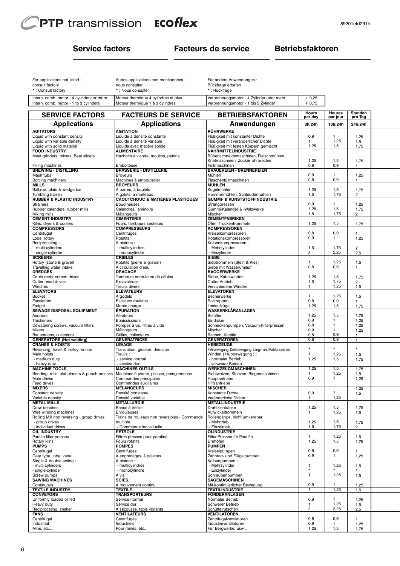

# **Service factors Facteurs de service Betriebsfaktoren**

 $+ 0,25$  $+ 0,75$ 

| For applications not listed :<br>consult factory<br>*: Consult factory | Autres applications non mentionnées :<br>nous consulter<br>*: Nous consulter | Für andere Anwendungen:<br>Rückfrage erbeten<br>* : Rückfrage |
|------------------------------------------------------------------------|------------------------------------------------------------------------------|---------------------------------------------------------------|
| Intern. comb. motor - 4 cylinders or more                              | Moteur thermique 4 cylindres et plus                                         | Verbrennungsmotor - 4 Zylinder oder mehr                      |
| Intern. comb. motor - 1 to 3 cylinders                                 | Moteur thermique 1 à 3 cylindres                                             | Verbrennungsmotor - 1 bis 3 Zylinder                          |

| <b>Applications</b><br><b>Applications</b><br>Anwendungen<br>3h/24h<br>10h/24h<br>24h/24h<br><b>RÜHRWERKE</b><br><b>AGITATORS</b><br><b>AGITATION</b><br>0,9<br>Liquide à densité constante<br>Flüßigkeit mit konstanter Dichte<br>Liquid with constant density<br>1<br>1,25<br>1,25<br>Liquid with variable density<br>Liquide à densité variable<br>Flüßigkeit mit veränderlicher Dichte<br>$\mathbf{1}$<br>1,5<br>Flüßigkeit mit festen Körpern gemischt<br>1,25<br>Liquid with solid material<br>Liquide avec matière solide<br>1,5<br>1,75<br><b>FOOD INDUSTRY</b><br><b>NÄHRMITTELINDUSTRIE</b><br><b>ALIMENTAIRE</b><br>Meat grinders, mixers, Beet slicers<br>Hachoirs à viande, moulins, pétrins<br>Rübenschneidemaschinen, Fleischmühlen,<br>1,25<br>Knetmaschinen, Zuckerrohrbrecher<br>1,5<br>1,75<br>0.8<br>0,9<br>Füllmaschinen<br>Filling machines<br>Emboiteuse<br>$\mathbf{1}$<br><b>BREWING - DISTILLING</b><br><b>BRAUEREIEN - BRENNEREIEN</b><br><b>BRASSERIE - DISTILLERIE</b><br>Mash tubs<br>Mühlen<br>0,9<br><b>Broveurs</b><br>1<br>1,25<br>0,9<br>0,8<br>Bottling machinery<br>Machines à embouteiller<br>Flaschenfüllmaschinen<br>$\mathbf{1}$<br><b>MÜHLEN</b><br><b>MILLS</b><br><b>BROYEURS</b><br>Ball,rod, plain & wedge bar<br>Kugelmühlen<br>1,25<br>1,5<br>A barres, à boulets<br>1,75<br>Hammermühlen, Schleudermühlen<br>1,5<br>1,75<br>Tumbling barrels<br>A galets, à marteaux<br>$\overline{2}$<br><b>RUBBER &amp; PLASTIC INDUSTRY</b><br><b>CAOUTCHOUC &amp; MATIÈRES PLASTIQUES</b><br><b>GUMMI- &amp; KUNSTSTOFFINDUSTRIE</b><br>0,9<br><b>Strainers</b><br>Boudineuses<br>Strangpressen<br>1<br>1,25<br>1,25<br>1,5<br>Calandres, laminoirs<br>Gummi-Kalander & -Walzwerke<br>Rubber calenders, rubber mills<br>1,75<br>1,5<br>Mischer<br>1,75<br>Mixing mills<br>Mélangeurs<br>$\overline{2}$<br><b>CEMENT INDUSTRY</b><br><b>ZEMENTFABRIKEN</b><br><b>CIMENTERIE</b><br>Fours, tambours sécheurs<br>Öfen, Trockentrommeln<br>1,25<br>1,5<br>Kilns, dryers & coolers<br>1,75<br><b>COMPRESSORS</b><br><b>COMPRESSEURS</b><br><b>KOMPRESSOREN</b><br>0,8<br>0,9<br>Centrifugal<br>Centrifuges<br>Kreiselkompressoren<br>$\mathbf{1}$<br>0,9<br>Rotatifs<br>$\mathbf{1}$<br>Lobe, rotary<br>Rotationskompressoren<br>1,25<br>A pistons:<br>Reciprocating:<br>Kolbenkompressoren:<br>- multicylindres<br>- Mehrzylinder<br>1,75<br>- multi-cylinders<br>1,5<br>$\overline{2}$<br>- monocylindre<br>- Einzylinder<br>$\overline{2}$<br>2,25<br>- single-cylinder<br>2,5<br><b>SCREENS</b><br><b>CRIBLES</b><br><b>SIEBE</b><br>Rotatifs (pierre & gravier)<br>Siebtrommeln (Stein & Kies)<br>$\mathbf{1}$<br>1,25<br>Rotary (stone & gravel)<br>1,5<br>0,8<br>Travelling water intake<br>A circulation d'eau<br>Siebe mit Wasserumlauf<br>0,9<br>$\mathbf{1}$<br><b>DREDGES</b><br><b>DRAGAGE</b><br><b>BAGGERWERKE</b><br>1,25<br>1,5<br>Tambours enrouleurs de câbles<br>Siebe, Kabelwinden<br>1,75<br>Cable reels, screen drives<br>1,5<br>1,75<br>Excavatrices<br>$\overline{2}$<br>Cutter head drives<br>Cutter-Antrieb<br>Treuils divers<br>Verschiedene Winden<br>$\mathbf{1}$<br>1,25<br>Winches<br>1,5<br><b>ELEVATORS</b><br><b>ÉLÉVATEURS</b><br><b>ELEVATOREN</b><br>1,25<br><b>Bucket</b><br>A godets<br>Becherwerke<br>$\mathbf{1}$<br>1,5<br>0,8<br>0,9<br>Escaliers roulants<br>Escalators<br>Rolltreppen<br>$\mathbf{1}$<br>1,25<br>Monte charge<br>Lastaufzüge<br>1,5<br>1,75<br>Freight<br><b>SEWAGE DISPOSAL EQUIPMENT</b><br><b>ÉPURATION</b><br>WASSERKLÄRANLAGEN<br>1,5<br>Belüfter<br>Aerators<br>Aérateurs<br>1,25<br>1,75<br>0,9<br>Eindicker<br>1<br>Thickeners<br>Epaississeurs<br>1,25<br>0,9<br>Pompes à vis, filtres à vide<br>Schneckenpumpen, Vakuum-Filterpressen<br>$\mathbf{1}$<br>Dewatering screws, vaccum filters<br>1,25<br>0,9<br>Mélangeurs<br>Mischer<br><b>Mixers</b><br>$\mathbf{1}$<br>1,25<br>0,8<br>Bar screens, collectors<br>Grilles, collecteurs<br>Rechen, Kanäle<br>0,9<br>$\mathbf{1}$<br><b>GÉNÉRATRICES</b><br>0,9<br><b>GENERATORS (Not welding)</b><br><b>GENERATOREN</b><br>0,8<br>$\mathbf{1}$<br><b>HEBEZEUGE</b><br><b>CRANES &amp; HOISTS</b><br><b>LEVAGE</b><br>Reversing, travel & trolley motion<br>Translation, giration, direction<br>Fahrbewegung, Drehbewegung, Längs- und Katzfahrantrieb<br>$\star$<br>1,25<br>Main hoists:<br>Treuils:<br>Winden (Hubbewegung):<br>$\mathbf{1}$<br>1,5<br>1,25<br>- normaler Betrieb<br>1,5<br>- medium duty<br>- service normal<br>1,75<br>- schwerer Betrieb<br>- heavy duty<br>- service dur<br><b>MACHINES OUTILS</b><br>1,25<br>1,5<br><b>MACHINE TOOLS</b><br>WERKZEUGMASCHINEN<br>1,75<br>1,25<br>Bending, rolls, plat planers & punch presses<br>Machines à planer, plieuse, poinçonneuse<br>Richtwalzen, Stanzen, Biegemaschinen<br>1<br>1,5<br>0,9<br>Main drives<br>Commandes principales<br>Hauptantriebe<br>$\mathbf{1}$<br>1,25<br>Feed drives<br>Commandes auxiliaires<br>Hilfsantriebe<br><b>MISCHER</b><br><b>MIXERS</b><br><b>MÉLANGEURS</b><br>1,25<br>0,9<br>Constant density<br>Densité constante<br>Konstante Dichte<br>$\mathbf{1}$<br>1,5<br>1,25<br>Variable density<br>Densité variable<br>Veränderliche Dichte<br>$\mathbf{1}$<br><b>METAL MILLS</b><br><b>MÉTALLURGIE</b><br><b>METALLINDUSTRIE</b><br>Bancs à tréfiler<br>1,25<br>1,5<br>Draw benches<br>Drahtziehbänke<br>1,75<br>1,25<br>Wire winding macnines<br>Aufwickeltrommeln<br>Enrouleuses<br>ס, ו<br>Rolling Mill non reversing - group drives<br>Trains de rouleaux non réversibles - Commande<br>Rollengänge, nicht umkehrbar<br>1,25<br>- group drives<br>multiple<br>- Mehrtrieb<br>1,5<br>1,75<br>- individual drives<br>- Einzeltrieb<br>1,75<br>- Commande individuelle<br>1,5<br>2<br><b>OIL INDUSTRY</b><br><b>PÉTROLE</b><br>ÖLINDUSTRIE<br>1,25<br>Parafin filter presses<br>Filtres-presses pour parafine<br>Filter-Pressen für Paraffin<br>$\mathbf{1}$<br>1,5<br>1,25<br>Rotary kilns<br>Fours rotatifs<br>Drehöfen<br>1,5<br>1,75<br><b>PUMPS</b><br><b>POMPES</b><br><b>PUMPEN</b><br>0,8<br>0,9<br>Centrifugal<br>Centrifuges<br>Kreiselpumpen<br>$\mathbf{1}$<br>0,9<br>Gear type, lobe, vane<br>A engrenages, à palettes<br>Zahnrad- und Flügelpumpen<br>1,25<br>Single & double acting :<br>A pistons:<br>Kolbenpumpen:<br>- multi-cylinders<br>- multicylindres<br>- Mehrzylinder<br>1,25<br>$\mathbf{1}$<br>1,5<br>- Einzylinder<br>- single-cylinder<br>- monocylindre<br>$\star$<br>1,25<br>Screw pumps<br>A vis<br>Schraubenpumpen<br>$\mathbf{1}$<br>1,5<br><b>SCIES</b><br><b>SAWING MACHINES</b><br><b>SÄGEMASCHINEN</b><br>0,9<br>$\mathbf{1}$<br>Continuous<br>A mouvement continu<br>Mit kontinuierlicher Bewegung<br>1,25<br><b>TEXTILE INDUSTRY</b><br>1,25<br><b>TEXTILE</b><br><b>TEXTILINDUSTRIE</b><br>$\mathbf{1}$<br>1,5<br><b>CONVEYORS</b><br><b>TRANSPORTEURS</b><br><b>FÖRDERANLAGEN</b><br>0,9<br>Uniformly loaded or fed<br>Service normal<br>Normaler Betrieb<br>1.<br>1,25<br>Service dur<br>Schwerer Betrieb<br>1,25<br>Heavy duty<br>$\mathbf{1}$<br>1,5<br>$\overline{2}$<br>2,25<br>Reciprocating, shaker<br>A secousse, tapis vibrants<br>Schüttelrutschen<br>2,5<br><b>FANS</b><br><b>VENTILATEURS</b><br><b>VENTILATOREN</b><br>Centrifugal<br>0,8<br>0,9<br>Centrifuges<br>Zentrifugalventilatoren<br>$\mathbf{1}$<br>Industriels<br>0,9<br>Industrial<br>Industrieventilatoren<br>$\mathbf{1}$<br>1,25<br>Mine, etc<br>Für Bergwerke, usw<br>1,25<br>1,5<br>Pour mines, etc<br>1,75 | <b>SERVICE FACTORS</b> | <b>FACTEURS DE SERVICE</b> | <b>BETRIEBSFAKTOREN</b> | <b>Hours</b><br>per day | Heures<br>par jour | <b>Stunden</b><br>pro Tag |  |
|-----------------------------------------------------------------------------------------------------------------------------------------------------------------------------------------------------------------------------------------------------------------------------------------------------------------------------------------------------------------------------------------------------------------------------------------------------------------------------------------------------------------------------------------------------------------------------------------------------------------------------------------------------------------------------------------------------------------------------------------------------------------------------------------------------------------------------------------------------------------------------------------------------------------------------------------------------------------------------------------------------------------------------------------------------------------------------------------------------------------------------------------------------------------------------------------------------------------------------------------------------------------------------------------------------------------------------------------------------------------------------------------------------------------------------------------------------------------------------------------------------------------------------------------------------------------------------------------------------------------------------------------------------------------------------------------------------------------------------------------------------------------------------------------------------------------------------------------------------------------------------------------------------------------------------------------------------------------------------------------------------------------------------------------------------------------------------------------------------------------------------------------------------------------------------------------------------------------------------------------------------------------------------------------------------------------------------------------------------------------------------------------------------------------------------------------------------------------------------------------------------------------------------------------------------------------------------------------------------------------------------------------------------------------------------------------------------------------------------------------------------------------------------------------------------------------------------------------------------------------------------------------------------------------------------------------------------------------------------------------------------------------------------------------------------------------------------------------------------------------------------------------------------------------------------------------------------------------------------------------------------------------------------------------------------------------------------------------------------------------------------------------------------------------------------------------------------------------------------------------------------------------------------------------------------------------------------------------------------------------------------------------------------------------------------------------------------------------------------------------------------------------------------------------------------------------------------------------------------------------------------------------------------------------------------------------------------------------------------------------------------------------------------------------------------------------------------------------------------------------------------------------------------------------------------------------------------------------------------------------------------------------------------------------------------------------------------------------------------------------------------------------------------------------------------------------------------------------------------------------------------------------------------------------------------------------------------------------------------------------------------------------------------------------------------------------------------------------------------------------------------------------------------------------------------------------------------------------------------------------------------------------------------------------------------------------------------------------------------------------------------------------------------------------------------------------------------------------------------------------------------------------------------------------------------------------------------------------------------------------------------------------------------------------------------------------------------------------------------------------------------------------------------------------------------------------------------------------------------------------------------------------------------------------------------------------------------------------------------------------------------------------------------------------------------------------------------------------------------------------------------------------------------------------------------------------------------------------------------------------------------------------------------------------------------------------------------------------------------------------------------------------------------------------------------------------------------------------------------------------------------------------------------------------------------------------------------------------------------------------------------------------------------------------------------------------------------------------------------------------------------------------------------------------------------------------------------------------------------------------------------------------------------------------------------------------------------------------------------------------------------------------------------------------------------------------------------------------------------------------------------------------------------------------------------------------------------------------------------------------------------------------------------------------------------------------------------------------------------------------------------------------------------------------------------------------------------------------------------------------------------------------------------------------------------------------------------------------------------------------------------------------------------------------------------------------------------------------------------------------------------------------------------------------------------------------------------------------------------------------|------------------------|----------------------------|-------------------------|-------------------------|--------------------|---------------------------|--|
|                                                                                                                                                                                                                                                                                                                                                                                                                                                                                                                                                                                                                                                                                                                                                                                                                                                                                                                                                                                                                                                                                                                                                                                                                                                                                                                                                                                                                                                                                                                                                                                                                                                                                                                                                                                                                                                                                                                                                                                                                                                                                                                                                                                                                                                                                                                                                                                                                                                                                                                                                                                                                                                                                                                                                                                                                                                                                                                                                                                                                                                                                                                                                                                                                                                                                                                                                                                                                                                                                                                                                                                                                                                                                                                                                                                                                                                                                                                                                                                                                                                                                                                                                                                                                                                                                                                                                                                                                                                                                                                                                                                                                                                                                                                                                                                                                                                                                                                                                                                                                                                                                                                                                                                                                                                                                                                                                                                                                                                                                                                                                                                                                                                                                                                                                                                                                                                                                                                                                                                                                                                                                                                                                                                                                                                                                                                                                                                                                                                                                                                                                                                                                                                                                                                                                                                                                                                                                                                                                                                                                                                                                                                                                                                                                                                                                                                                                                                                                                                                                         |                        |                            |                         |                         |                    |                           |  |
|                                                                                                                                                                                                                                                                                                                                                                                                                                                                                                                                                                                                                                                                                                                                                                                                                                                                                                                                                                                                                                                                                                                                                                                                                                                                                                                                                                                                                                                                                                                                                                                                                                                                                                                                                                                                                                                                                                                                                                                                                                                                                                                                                                                                                                                                                                                                                                                                                                                                                                                                                                                                                                                                                                                                                                                                                                                                                                                                                                                                                                                                                                                                                                                                                                                                                                                                                                                                                                                                                                                                                                                                                                                                                                                                                                                                                                                                                                                                                                                                                                                                                                                                                                                                                                                                                                                                                                                                                                                                                                                                                                                                                                                                                                                                                                                                                                                                                                                                                                                                                                                                                                                                                                                                                                                                                                                                                                                                                                                                                                                                                                                                                                                                                                                                                                                                                                                                                                                                                                                                                                                                                                                                                                                                                                                                                                                                                                                                                                                                                                                                                                                                                                                                                                                                                                                                                                                                                                                                                                                                                                                                                                                                                                                                                                                                                                                                                                                                                                                                                         |                        |                            |                         |                         |                    |                           |  |
|                                                                                                                                                                                                                                                                                                                                                                                                                                                                                                                                                                                                                                                                                                                                                                                                                                                                                                                                                                                                                                                                                                                                                                                                                                                                                                                                                                                                                                                                                                                                                                                                                                                                                                                                                                                                                                                                                                                                                                                                                                                                                                                                                                                                                                                                                                                                                                                                                                                                                                                                                                                                                                                                                                                                                                                                                                                                                                                                                                                                                                                                                                                                                                                                                                                                                                                                                                                                                                                                                                                                                                                                                                                                                                                                                                                                                                                                                                                                                                                                                                                                                                                                                                                                                                                                                                                                                                                                                                                                                                                                                                                                                                                                                                                                                                                                                                                                                                                                                                                                                                                                                                                                                                                                                                                                                                                                                                                                                                                                                                                                                                                                                                                                                                                                                                                                                                                                                                                                                                                                                                                                                                                                                                                                                                                                                                                                                                                                                                                                                                                                                                                                                                                                                                                                                                                                                                                                                                                                                                                                                                                                                                                                                                                                                                                                                                                                                                                                                                                                                         |                        |                            |                         |                         |                    |                           |  |
|                                                                                                                                                                                                                                                                                                                                                                                                                                                                                                                                                                                                                                                                                                                                                                                                                                                                                                                                                                                                                                                                                                                                                                                                                                                                                                                                                                                                                                                                                                                                                                                                                                                                                                                                                                                                                                                                                                                                                                                                                                                                                                                                                                                                                                                                                                                                                                                                                                                                                                                                                                                                                                                                                                                                                                                                                                                                                                                                                                                                                                                                                                                                                                                                                                                                                                                                                                                                                                                                                                                                                                                                                                                                                                                                                                                                                                                                                                                                                                                                                                                                                                                                                                                                                                                                                                                                                                                                                                                                                                                                                                                                                                                                                                                                                                                                                                                                                                                                                                                                                                                                                                                                                                                                                                                                                                                                                                                                                                                                                                                                                                                                                                                                                                                                                                                                                                                                                                                                                                                                                                                                                                                                                                                                                                                                                                                                                                                                                                                                                                                                                                                                                                                                                                                                                                                                                                                                                                                                                                                                                                                                                                                                                                                                                                                                                                                                                                                                                                                                                         |                        |                            |                         |                         |                    |                           |  |
|                                                                                                                                                                                                                                                                                                                                                                                                                                                                                                                                                                                                                                                                                                                                                                                                                                                                                                                                                                                                                                                                                                                                                                                                                                                                                                                                                                                                                                                                                                                                                                                                                                                                                                                                                                                                                                                                                                                                                                                                                                                                                                                                                                                                                                                                                                                                                                                                                                                                                                                                                                                                                                                                                                                                                                                                                                                                                                                                                                                                                                                                                                                                                                                                                                                                                                                                                                                                                                                                                                                                                                                                                                                                                                                                                                                                                                                                                                                                                                                                                                                                                                                                                                                                                                                                                                                                                                                                                                                                                                                                                                                                                                                                                                                                                                                                                                                                                                                                                                                                                                                                                                                                                                                                                                                                                                                                                                                                                                                                                                                                                                                                                                                                                                                                                                                                                                                                                                                                                                                                                                                                                                                                                                                                                                                                                                                                                                                                                                                                                                                                                                                                                                                                                                                                                                                                                                                                                                                                                                                                                                                                                                                                                                                                                                                                                                                                                                                                                                                                                         |                        |                            |                         |                         |                    |                           |  |
|                                                                                                                                                                                                                                                                                                                                                                                                                                                                                                                                                                                                                                                                                                                                                                                                                                                                                                                                                                                                                                                                                                                                                                                                                                                                                                                                                                                                                                                                                                                                                                                                                                                                                                                                                                                                                                                                                                                                                                                                                                                                                                                                                                                                                                                                                                                                                                                                                                                                                                                                                                                                                                                                                                                                                                                                                                                                                                                                                                                                                                                                                                                                                                                                                                                                                                                                                                                                                                                                                                                                                                                                                                                                                                                                                                                                                                                                                                                                                                                                                                                                                                                                                                                                                                                                                                                                                                                                                                                                                                                                                                                                                                                                                                                                                                                                                                                                                                                                                                                                                                                                                                                                                                                                                                                                                                                                                                                                                                                                                                                                                                                                                                                                                                                                                                                                                                                                                                                                                                                                                                                                                                                                                                                                                                                                                                                                                                                                                                                                                                                                                                                                                                                                                                                                                                                                                                                                                                                                                                                                                                                                                                                                                                                                                                                                                                                                                                                                                                                                                         |                        |                            |                         |                         |                    |                           |  |
|                                                                                                                                                                                                                                                                                                                                                                                                                                                                                                                                                                                                                                                                                                                                                                                                                                                                                                                                                                                                                                                                                                                                                                                                                                                                                                                                                                                                                                                                                                                                                                                                                                                                                                                                                                                                                                                                                                                                                                                                                                                                                                                                                                                                                                                                                                                                                                                                                                                                                                                                                                                                                                                                                                                                                                                                                                                                                                                                                                                                                                                                                                                                                                                                                                                                                                                                                                                                                                                                                                                                                                                                                                                                                                                                                                                                                                                                                                                                                                                                                                                                                                                                                                                                                                                                                                                                                                                                                                                                                                                                                                                                                                                                                                                                                                                                                                                                                                                                                                                                                                                                                                                                                                                                                                                                                                                                                                                                                                                                                                                                                                                                                                                                                                                                                                                                                                                                                                                                                                                                                                                                                                                                                                                                                                                                                                                                                                                                                                                                                                                                                                                                                                                                                                                                                                                                                                                                                                                                                                                                                                                                                                                                                                                                                                                                                                                                                                                                                                                                                         |                        |                            |                         |                         |                    |                           |  |
|                                                                                                                                                                                                                                                                                                                                                                                                                                                                                                                                                                                                                                                                                                                                                                                                                                                                                                                                                                                                                                                                                                                                                                                                                                                                                                                                                                                                                                                                                                                                                                                                                                                                                                                                                                                                                                                                                                                                                                                                                                                                                                                                                                                                                                                                                                                                                                                                                                                                                                                                                                                                                                                                                                                                                                                                                                                                                                                                                                                                                                                                                                                                                                                                                                                                                                                                                                                                                                                                                                                                                                                                                                                                                                                                                                                                                                                                                                                                                                                                                                                                                                                                                                                                                                                                                                                                                                                                                                                                                                                                                                                                                                                                                                                                                                                                                                                                                                                                                                                                                                                                                                                                                                                                                                                                                                                                                                                                                                                                                                                                                                                                                                                                                                                                                                                                                                                                                                                                                                                                                                                                                                                                                                                                                                                                                                                                                                                                                                                                                                                                                                                                                                                                                                                                                                                                                                                                                                                                                                                                                                                                                                                                                                                                                                                                                                                                                                                                                                                                                         |                        |                            |                         |                         |                    |                           |  |
|                                                                                                                                                                                                                                                                                                                                                                                                                                                                                                                                                                                                                                                                                                                                                                                                                                                                                                                                                                                                                                                                                                                                                                                                                                                                                                                                                                                                                                                                                                                                                                                                                                                                                                                                                                                                                                                                                                                                                                                                                                                                                                                                                                                                                                                                                                                                                                                                                                                                                                                                                                                                                                                                                                                                                                                                                                                                                                                                                                                                                                                                                                                                                                                                                                                                                                                                                                                                                                                                                                                                                                                                                                                                                                                                                                                                                                                                                                                                                                                                                                                                                                                                                                                                                                                                                                                                                                                                                                                                                                                                                                                                                                                                                                                                                                                                                                                                                                                                                                                                                                                                                                                                                                                                                                                                                                                                                                                                                                                                                                                                                                                                                                                                                                                                                                                                                                                                                                                                                                                                                                                                                                                                                                                                                                                                                                                                                                                                                                                                                                                                                                                                                                                                                                                                                                                                                                                                                                                                                                                                                                                                                                                                                                                                                                                                                                                                                                                                                                                                                         |                        |                            |                         |                         |                    |                           |  |
|                                                                                                                                                                                                                                                                                                                                                                                                                                                                                                                                                                                                                                                                                                                                                                                                                                                                                                                                                                                                                                                                                                                                                                                                                                                                                                                                                                                                                                                                                                                                                                                                                                                                                                                                                                                                                                                                                                                                                                                                                                                                                                                                                                                                                                                                                                                                                                                                                                                                                                                                                                                                                                                                                                                                                                                                                                                                                                                                                                                                                                                                                                                                                                                                                                                                                                                                                                                                                                                                                                                                                                                                                                                                                                                                                                                                                                                                                                                                                                                                                                                                                                                                                                                                                                                                                                                                                                                                                                                                                                                                                                                                                                                                                                                                                                                                                                                                                                                                                                                                                                                                                                                                                                                                                                                                                                                                                                                                                                                                                                                                                                                                                                                                                                                                                                                                                                                                                                                                                                                                                                                                                                                                                                                                                                                                                                                                                                                                                                                                                                                                                                                                                                                                                                                                                                                                                                                                                                                                                                                                                                                                                                                                                                                                                                                                                                                                                                                                                                                                                         |                        |                            |                         |                         |                    |                           |  |
|                                                                                                                                                                                                                                                                                                                                                                                                                                                                                                                                                                                                                                                                                                                                                                                                                                                                                                                                                                                                                                                                                                                                                                                                                                                                                                                                                                                                                                                                                                                                                                                                                                                                                                                                                                                                                                                                                                                                                                                                                                                                                                                                                                                                                                                                                                                                                                                                                                                                                                                                                                                                                                                                                                                                                                                                                                                                                                                                                                                                                                                                                                                                                                                                                                                                                                                                                                                                                                                                                                                                                                                                                                                                                                                                                                                                                                                                                                                                                                                                                                                                                                                                                                                                                                                                                                                                                                                                                                                                                                                                                                                                                                                                                                                                                                                                                                                                                                                                                                                                                                                                                                                                                                                                                                                                                                                                                                                                                                                                                                                                                                                                                                                                                                                                                                                                                                                                                                                                                                                                                                                                                                                                                                                                                                                                                                                                                                                                                                                                                                                                                                                                                                                                                                                                                                                                                                                                                                                                                                                                                                                                                                                                                                                                                                                                                                                                                                                                                                                                                         |                        |                            |                         |                         |                    |                           |  |
|                                                                                                                                                                                                                                                                                                                                                                                                                                                                                                                                                                                                                                                                                                                                                                                                                                                                                                                                                                                                                                                                                                                                                                                                                                                                                                                                                                                                                                                                                                                                                                                                                                                                                                                                                                                                                                                                                                                                                                                                                                                                                                                                                                                                                                                                                                                                                                                                                                                                                                                                                                                                                                                                                                                                                                                                                                                                                                                                                                                                                                                                                                                                                                                                                                                                                                                                                                                                                                                                                                                                                                                                                                                                                                                                                                                                                                                                                                                                                                                                                                                                                                                                                                                                                                                                                                                                                                                                                                                                                                                                                                                                                                                                                                                                                                                                                                                                                                                                                                                                                                                                                                                                                                                                                                                                                                                                                                                                                                                                                                                                                                                                                                                                                                                                                                                                                                                                                                                                                                                                                                                                                                                                                                                                                                                                                                                                                                                                                                                                                                                                                                                                                                                                                                                                                                                                                                                                                                                                                                                                                                                                                                                                                                                                                                                                                                                                                                                                                                                                                         |                        |                            |                         |                         |                    |                           |  |
|                                                                                                                                                                                                                                                                                                                                                                                                                                                                                                                                                                                                                                                                                                                                                                                                                                                                                                                                                                                                                                                                                                                                                                                                                                                                                                                                                                                                                                                                                                                                                                                                                                                                                                                                                                                                                                                                                                                                                                                                                                                                                                                                                                                                                                                                                                                                                                                                                                                                                                                                                                                                                                                                                                                                                                                                                                                                                                                                                                                                                                                                                                                                                                                                                                                                                                                                                                                                                                                                                                                                                                                                                                                                                                                                                                                                                                                                                                                                                                                                                                                                                                                                                                                                                                                                                                                                                                                                                                                                                                                                                                                                                                                                                                                                                                                                                                                                                                                                                                                                                                                                                                                                                                                                                                                                                                                                                                                                                                                                                                                                                                                                                                                                                                                                                                                                                                                                                                                                                                                                                                                                                                                                                                                                                                                                                                                                                                                                                                                                                                                                                                                                                                                                                                                                                                                                                                                                                                                                                                                                                                                                                                                                                                                                                                                                                                                                                                                                                                                                                         |                        |                            |                         |                         |                    |                           |  |
|                                                                                                                                                                                                                                                                                                                                                                                                                                                                                                                                                                                                                                                                                                                                                                                                                                                                                                                                                                                                                                                                                                                                                                                                                                                                                                                                                                                                                                                                                                                                                                                                                                                                                                                                                                                                                                                                                                                                                                                                                                                                                                                                                                                                                                                                                                                                                                                                                                                                                                                                                                                                                                                                                                                                                                                                                                                                                                                                                                                                                                                                                                                                                                                                                                                                                                                                                                                                                                                                                                                                                                                                                                                                                                                                                                                                                                                                                                                                                                                                                                                                                                                                                                                                                                                                                                                                                                                                                                                                                                                                                                                                                                                                                                                                                                                                                                                                                                                                                                                                                                                                                                                                                                                                                                                                                                                                                                                                                                                                                                                                                                                                                                                                                                                                                                                                                                                                                                                                                                                                                                                                                                                                                                                                                                                                                                                                                                                                                                                                                                                                                                                                                                                                                                                                                                                                                                                                                                                                                                                                                                                                                                                                                                                                                                                                                                                                                                                                                                                                                         |                        |                            |                         |                         |                    |                           |  |
|                                                                                                                                                                                                                                                                                                                                                                                                                                                                                                                                                                                                                                                                                                                                                                                                                                                                                                                                                                                                                                                                                                                                                                                                                                                                                                                                                                                                                                                                                                                                                                                                                                                                                                                                                                                                                                                                                                                                                                                                                                                                                                                                                                                                                                                                                                                                                                                                                                                                                                                                                                                                                                                                                                                                                                                                                                                                                                                                                                                                                                                                                                                                                                                                                                                                                                                                                                                                                                                                                                                                                                                                                                                                                                                                                                                                                                                                                                                                                                                                                                                                                                                                                                                                                                                                                                                                                                                                                                                                                                                                                                                                                                                                                                                                                                                                                                                                                                                                                                                                                                                                                                                                                                                                                                                                                                                                                                                                                                                                                                                                                                                                                                                                                                                                                                                                                                                                                                                                                                                                                                                                                                                                                                                                                                                                                                                                                                                                                                                                                                                                                                                                                                                                                                                                                                                                                                                                                                                                                                                                                                                                                                                                                                                                                                                                                                                                                                                                                                                                                         |                        |                            |                         |                         |                    |                           |  |
|                                                                                                                                                                                                                                                                                                                                                                                                                                                                                                                                                                                                                                                                                                                                                                                                                                                                                                                                                                                                                                                                                                                                                                                                                                                                                                                                                                                                                                                                                                                                                                                                                                                                                                                                                                                                                                                                                                                                                                                                                                                                                                                                                                                                                                                                                                                                                                                                                                                                                                                                                                                                                                                                                                                                                                                                                                                                                                                                                                                                                                                                                                                                                                                                                                                                                                                                                                                                                                                                                                                                                                                                                                                                                                                                                                                                                                                                                                                                                                                                                                                                                                                                                                                                                                                                                                                                                                                                                                                                                                                                                                                                                                                                                                                                                                                                                                                                                                                                                                                                                                                                                                                                                                                                                                                                                                                                                                                                                                                                                                                                                                                                                                                                                                                                                                                                                                                                                                                                                                                                                                                                                                                                                                                                                                                                                                                                                                                                                                                                                                                                                                                                                                                                                                                                                                                                                                                                                                                                                                                                                                                                                                                                                                                                                                                                                                                                                                                                                                                                                         |                        |                            |                         |                         |                    |                           |  |
|                                                                                                                                                                                                                                                                                                                                                                                                                                                                                                                                                                                                                                                                                                                                                                                                                                                                                                                                                                                                                                                                                                                                                                                                                                                                                                                                                                                                                                                                                                                                                                                                                                                                                                                                                                                                                                                                                                                                                                                                                                                                                                                                                                                                                                                                                                                                                                                                                                                                                                                                                                                                                                                                                                                                                                                                                                                                                                                                                                                                                                                                                                                                                                                                                                                                                                                                                                                                                                                                                                                                                                                                                                                                                                                                                                                                                                                                                                                                                                                                                                                                                                                                                                                                                                                                                                                                                                                                                                                                                                                                                                                                                                                                                                                                                                                                                                                                                                                                                                                                                                                                                                                                                                                                                                                                                                                                                                                                                                                                                                                                                                                                                                                                                                                                                                                                                                                                                                                                                                                                                                                                                                                                                                                                                                                                                                                                                                                                                                                                                                                                                                                                                                                                                                                                                                                                                                                                                                                                                                                                                                                                                                                                                                                                                                                                                                                                                                                                                                                                                         |                        |                            |                         |                         |                    |                           |  |
|                                                                                                                                                                                                                                                                                                                                                                                                                                                                                                                                                                                                                                                                                                                                                                                                                                                                                                                                                                                                                                                                                                                                                                                                                                                                                                                                                                                                                                                                                                                                                                                                                                                                                                                                                                                                                                                                                                                                                                                                                                                                                                                                                                                                                                                                                                                                                                                                                                                                                                                                                                                                                                                                                                                                                                                                                                                                                                                                                                                                                                                                                                                                                                                                                                                                                                                                                                                                                                                                                                                                                                                                                                                                                                                                                                                                                                                                                                                                                                                                                                                                                                                                                                                                                                                                                                                                                                                                                                                                                                                                                                                                                                                                                                                                                                                                                                                                                                                                                                                                                                                                                                                                                                                                                                                                                                                                                                                                                                                                                                                                                                                                                                                                                                                                                                                                                                                                                                                                                                                                                                                                                                                                                                                                                                                                                                                                                                                                                                                                                                                                                                                                                                                                                                                                                                                                                                                                                                                                                                                                                                                                                                                                                                                                                                                                                                                                                                                                                                                                                         |                        |                            |                         |                         |                    |                           |  |
|                                                                                                                                                                                                                                                                                                                                                                                                                                                                                                                                                                                                                                                                                                                                                                                                                                                                                                                                                                                                                                                                                                                                                                                                                                                                                                                                                                                                                                                                                                                                                                                                                                                                                                                                                                                                                                                                                                                                                                                                                                                                                                                                                                                                                                                                                                                                                                                                                                                                                                                                                                                                                                                                                                                                                                                                                                                                                                                                                                                                                                                                                                                                                                                                                                                                                                                                                                                                                                                                                                                                                                                                                                                                                                                                                                                                                                                                                                                                                                                                                                                                                                                                                                                                                                                                                                                                                                                                                                                                                                                                                                                                                                                                                                                                                                                                                                                                                                                                                                                                                                                                                                                                                                                                                                                                                                                                                                                                                                                                                                                                                                                                                                                                                                                                                                                                                                                                                                                                                                                                                                                                                                                                                                                                                                                                                                                                                                                                                                                                                                                                                                                                                                                                                                                                                                                                                                                                                                                                                                                                                                                                                                                                                                                                                                                                                                                                                                                                                                                                                         |                        |                            |                         |                         |                    |                           |  |
|                                                                                                                                                                                                                                                                                                                                                                                                                                                                                                                                                                                                                                                                                                                                                                                                                                                                                                                                                                                                                                                                                                                                                                                                                                                                                                                                                                                                                                                                                                                                                                                                                                                                                                                                                                                                                                                                                                                                                                                                                                                                                                                                                                                                                                                                                                                                                                                                                                                                                                                                                                                                                                                                                                                                                                                                                                                                                                                                                                                                                                                                                                                                                                                                                                                                                                                                                                                                                                                                                                                                                                                                                                                                                                                                                                                                                                                                                                                                                                                                                                                                                                                                                                                                                                                                                                                                                                                                                                                                                                                                                                                                                                                                                                                                                                                                                                                                                                                                                                                                                                                                                                                                                                                                                                                                                                                                                                                                                                                                                                                                                                                                                                                                                                                                                                                                                                                                                                                                                                                                                                                                                                                                                                                                                                                                                                                                                                                                                                                                                                                                                                                                                                                                                                                                                                                                                                                                                                                                                                                                                                                                                                                                                                                                                                                                                                                                                                                                                                                                                         |                        |                            |                         |                         |                    |                           |  |
|                                                                                                                                                                                                                                                                                                                                                                                                                                                                                                                                                                                                                                                                                                                                                                                                                                                                                                                                                                                                                                                                                                                                                                                                                                                                                                                                                                                                                                                                                                                                                                                                                                                                                                                                                                                                                                                                                                                                                                                                                                                                                                                                                                                                                                                                                                                                                                                                                                                                                                                                                                                                                                                                                                                                                                                                                                                                                                                                                                                                                                                                                                                                                                                                                                                                                                                                                                                                                                                                                                                                                                                                                                                                                                                                                                                                                                                                                                                                                                                                                                                                                                                                                                                                                                                                                                                                                                                                                                                                                                                                                                                                                                                                                                                                                                                                                                                                                                                                                                                                                                                                                                                                                                                                                                                                                                                                                                                                                                                                                                                                                                                                                                                                                                                                                                                                                                                                                                                                                                                                                                                                                                                                                                                                                                                                                                                                                                                                                                                                                                                                                                                                                                                                                                                                                                                                                                                                                                                                                                                                                                                                                                                                                                                                                                                                                                                                                                                                                                                                                         |                        |                            |                         |                         |                    |                           |  |
|                                                                                                                                                                                                                                                                                                                                                                                                                                                                                                                                                                                                                                                                                                                                                                                                                                                                                                                                                                                                                                                                                                                                                                                                                                                                                                                                                                                                                                                                                                                                                                                                                                                                                                                                                                                                                                                                                                                                                                                                                                                                                                                                                                                                                                                                                                                                                                                                                                                                                                                                                                                                                                                                                                                                                                                                                                                                                                                                                                                                                                                                                                                                                                                                                                                                                                                                                                                                                                                                                                                                                                                                                                                                                                                                                                                                                                                                                                                                                                                                                                                                                                                                                                                                                                                                                                                                                                                                                                                                                                                                                                                                                                                                                                                                                                                                                                                                                                                                                                                                                                                                                                                                                                                                                                                                                                                                                                                                                                                                                                                                                                                                                                                                                                                                                                                                                                                                                                                                                                                                                                                                                                                                                                                                                                                                                                                                                                                                                                                                                                                                                                                                                                                                                                                                                                                                                                                                                                                                                                                                                                                                                                                                                                                                                                                                                                                                                                                                                                                                                         |                        |                            |                         |                         |                    |                           |  |
|                                                                                                                                                                                                                                                                                                                                                                                                                                                                                                                                                                                                                                                                                                                                                                                                                                                                                                                                                                                                                                                                                                                                                                                                                                                                                                                                                                                                                                                                                                                                                                                                                                                                                                                                                                                                                                                                                                                                                                                                                                                                                                                                                                                                                                                                                                                                                                                                                                                                                                                                                                                                                                                                                                                                                                                                                                                                                                                                                                                                                                                                                                                                                                                                                                                                                                                                                                                                                                                                                                                                                                                                                                                                                                                                                                                                                                                                                                                                                                                                                                                                                                                                                                                                                                                                                                                                                                                                                                                                                                                                                                                                                                                                                                                                                                                                                                                                                                                                                                                                                                                                                                                                                                                                                                                                                                                                                                                                                                                                                                                                                                                                                                                                                                                                                                                                                                                                                                                                                                                                                                                                                                                                                                                                                                                                                                                                                                                                                                                                                                                                                                                                                                                                                                                                                                                                                                                                                                                                                                                                                                                                                                                                                                                                                                                                                                                                                                                                                                                                                         |                        |                            |                         |                         |                    |                           |  |
|                                                                                                                                                                                                                                                                                                                                                                                                                                                                                                                                                                                                                                                                                                                                                                                                                                                                                                                                                                                                                                                                                                                                                                                                                                                                                                                                                                                                                                                                                                                                                                                                                                                                                                                                                                                                                                                                                                                                                                                                                                                                                                                                                                                                                                                                                                                                                                                                                                                                                                                                                                                                                                                                                                                                                                                                                                                                                                                                                                                                                                                                                                                                                                                                                                                                                                                                                                                                                                                                                                                                                                                                                                                                                                                                                                                                                                                                                                                                                                                                                                                                                                                                                                                                                                                                                                                                                                                                                                                                                                                                                                                                                                                                                                                                                                                                                                                                                                                                                                                                                                                                                                                                                                                                                                                                                                                                                                                                                                                                                                                                                                                                                                                                                                                                                                                                                                                                                                                                                                                                                                                                                                                                                                                                                                                                                                                                                                                                                                                                                                                                                                                                                                                                                                                                                                                                                                                                                                                                                                                                                                                                                                                                                                                                                                                                                                                                                                                                                                                                                         |                        |                            |                         |                         |                    |                           |  |
|                                                                                                                                                                                                                                                                                                                                                                                                                                                                                                                                                                                                                                                                                                                                                                                                                                                                                                                                                                                                                                                                                                                                                                                                                                                                                                                                                                                                                                                                                                                                                                                                                                                                                                                                                                                                                                                                                                                                                                                                                                                                                                                                                                                                                                                                                                                                                                                                                                                                                                                                                                                                                                                                                                                                                                                                                                                                                                                                                                                                                                                                                                                                                                                                                                                                                                                                                                                                                                                                                                                                                                                                                                                                                                                                                                                                                                                                                                                                                                                                                                                                                                                                                                                                                                                                                                                                                                                                                                                                                                                                                                                                                                                                                                                                                                                                                                                                                                                                                                                                                                                                                                                                                                                                                                                                                                                                                                                                                                                                                                                                                                                                                                                                                                                                                                                                                                                                                                                                                                                                                                                                                                                                                                                                                                                                                                                                                                                                                                                                                                                                                                                                                                                                                                                                                                                                                                                                                                                                                                                                                                                                                                                                                                                                                                                                                                                                                                                                                                                                                         |                        |                            |                         |                         |                    |                           |  |
|                                                                                                                                                                                                                                                                                                                                                                                                                                                                                                                                                                                                                                                                                                                                                                                                                                                                                                                                                                                                                                                                                                                                                                                                                                                                                                                                                                                                                                                                                                                                                                                                                                                                                                                                                                                                                                                                                                                                                                                                                                                                                                                                                                                                                                                                                                                                                                                                                                                                                                                                                                                                                                                                                                                                                                                                                                                                                                                                                                                                                                                                                                                                                                                                                                                                                                                                                                                                                                                                                                                                                                                                                                                                                                                                                                                                                                                                                                                                                                                                                                                                                                                                                                                                                                                                                                                                                                                                                                                                                                                                                                                                                                                                                                                                                                                                                                                                                                                                                                                                                                                                                                                                                                                                                                                                                                                                                                                                                                                                                                                                                                                                                                                                                                                                                                                                                                                                                                                                                                                                                                                                                                                                                                                                                                                                                                                                                                                                                                                                                                                                                                                                                                                                                                                                                                                                                                                                                                                                                                                                                                                                                                                                                                                                                                                                                                                                                                                                                                                                                         |                        |                            |                         |                         |                    |                           |  |
|                                                                                                                                                                                                                                                                                                                                                                                                                                                                                                                                                                                                                                                                                                                                                                                                                                                                                                                                                                                                                                                                                                                                                                                                                                                                                                                                                                                                                                                                                                                                                                                                                                                                                                                                                                                                                                                                                                                                                                                                                                                                                                                                                                                                                                                                                                                                                                                                                                                                                                                                                                                                                                                                                                                                                                                                                                                                                                                                                                                                                                                                                                                                                                                                                                                                                                                                                                                                                                                                                                                                                                                                                                                                                                                                                                                                                                                                                                                                                                                                                                                                                                                                                                                                                                                                                                                                                                                                                                                                                                                                                                                                                                                                                                                                                                                                                                                                                                                                                                                                                                                                                                                                                                                                                                                                                                                                                                                                                                                                                                                                                                                                                                                                                                                                                                                                                                                                                                                                                                                                                                                                                                                                                                                                                                                                                                                                                                                                                                                                                                                                                                                                                                                                                                                                                                                                                                                                                                                                                                                                                                                                                                                                                                                                                                                                                                                                                                                                                                                                                         |                        |                            |                         |                         |                    |                           |  |
|                                                                                                                                                                                                                                                                                                                                                                                                                                                                                                                                                                                                                                                                                                                                                                                                                                                                                                                                                                                                                                                                                                                                                                                                                                                                                                                                                                                                                                                                                                                                                                                                                                                                                                                                                                                                                                                                                                                                                                                                                                                                                                                                                                                                                                                                                                                                                                                                                                                                                                                                                                                                                                                                                                                                                                                                                                                                                                                                                                                                                                                                                                                                                                                                                                                                                                                                                                                                                                                                                                                                                                                                                                                                                                                                                                                                                                                                                                                                                                                                                                                                                                                                                                                                                                                                                                                                                                                                                                                                                                                                                                                                                                                                                                                                                                                                                                                                                                                                                                                                                                                                                                                                                                                                                                                                                                                                                                                                                                                                                                                                                                                                                                                                                                                                                                                                                                                                                                                                                                                                                                                                                                                                                                                                                                                                                                                                                                                                                                                                                                                                                                                                                                                                                                                                                                                                                                                                                                                                                                                                                                                                                                                                                                                                                                                                                                                                                                                                                                                                                         |                        |                            |                         |                         |                    |                           |  |
|                                                                                                                                                                                                                                                                                                                                                                                                                                                                                                                                                                                                                                                                                                                                                                                                                                                                                                                                                                                                                                                                                                                                                                                                                                                                                                                                                                                                                                                                                                                                                                                                                                                                                                                                                                                                                                                                                                                                                                                                                                                                                                                                                                                                                                                                                                                                                                                                                                                                                                                                                                                                                                                                                                                                                                                                                                                                                                                                                                                                                                                                                                                                                                                                                                                                                                                                                                                                                                                                                                                                                                                                                                                                                                                                                                                                                                                                                                                                                                                                                                                                                                                                                                                                                                                                                                                                                                                                                                                                                                                                                                                                                                                                                                                                                                                                                                                                                                                                                                                                                                                                                                                                                                                                                                                                                                                                                                                                                                                                                                                                                                                                                                                                                                                                                                                                                                                                                                                                                                                                                                                                                                                                                                                                                                                                                                                                                                                                                                                                                                                                                                                                                                                                                                                                                                                                                                                                                                                                                                                                                                                                                                                                                                                                                                                                                                                                                                                                                                                                                         |                        |                            |                         |                         |                    |                           |  |
|                                                                                                                                                                                                                                                                                                                                                                                                                                                                                                                                                                                                                                                                                                                                                                                                                                                                                                                                                                                                                                                                                                                                                                                                                                                                                                                                                                                                                                                                                                                                                                                                                                                                                                                                                                                                                                                                                                                                                                                                                                                                                                                                                                                                                                                                                                                                                                                                                                                                                                                                                                                                                                                                                                                                                                                                                                                                                                                                                                                                                                                                                                                                                                                                                                                                                                                                                                                                                                                                                                                                                                                                                                                                                                                                                                                                                                                                                                                                                                                                                                                                                                                                                                                                                                                                                                                                                                                                                                                                                                                                                                                                                                                                                                                                                                                                                                                                                                                                                                                                                                                                                                                                                                                                                                                                                                                                                                                                                                                                                                                                                                                                                                                                                                                                                                                                                                                                                                                                                                                                                                                                                                                                                                                                                                                                                                                                                                                                                                                                                                                                                                                                                                                                                                                                                                                                                                                                                                                                                                                                                                                                                                                                                                                                                                                                                                                                                                                                                                                                                         |                        |                            |                         |                         |                    |                           |  |
|                                                                                                                                                                                                                                                                                                                                                                                                                                                                                                                                                                                                                                                                                                                                                                                                                                                                                                                                                                                                                                                                                                                                                                                                                                                                                                                                                                                                                                                                                                                                                                                                                                                                                                                                                                                                                                                                                                                                                                                                                                                                                                                                                                                                                                                                                                                                                                                                                                                                                                                                                                                                                                                                                                                                                                                                                                                                                                                                                                                                                                                                                                                                                                                                                                                                                                                                                                                                                                                                                                                                                                                                                                                                                                                                                                                                                                                                                                                                                                                                                                                                                                                                                                                                                                                                                                                                                                                                                                                                                                                                                                                                                                                                                                                                                                                                                                                                                                                                                                                                                                                                                                                                                                                                                                                                                                                                                                                                                                                                                                                                                                                                                                                                                                                                                                                                                                                                                                                                                                                                                                                                                                                                                                                                                                                                                                                                                                                                                                                                                                                                                                                                                                                                                                                                                                                                                                                                                                                                                                                                                                                                                                                                                                                                                                                                                                                                                                                                                                                                                         |                        |                            |                         |                         |                    |                           |  |
|                                                                                                                                                                                                                                                                                                                                                                                                                                                                                                                                                                                                                                                                                                                                                                                                                                                                                                                                                                                                                                                                                                                                                                                                                                                                                                                                                                                                                                                                                                                                                                                                                                                                                                                                                                                                                                                                                                                                                                                                                                                                                                                                                                                                                                                                                                                                                                                                                                                                                                                                                                                                                                                                                                                                                                                                                                                                                                                                                                                                                                                                                                                                                                                                                                                                                                                                                                                                                                                                                                                                                                                                                                                                                                                                                                                                                                                                                                                                                                                                                                                                                                                                                                                                                                                                                                                                                                                                                                                                                                                                                                                                                                                                                                                                                                                                                                                                                                                                                                                                                                                                                                                                                                                                                                                                                                                                                                                                                                                                                                                                                                                                                                                                                                                                                                                                                                                                                                                                                                                                                                                                                                                                                                                                                                                                                                                                                                                                                                                                                                                                                                                                                                                                                                                                                                                                                                                                                                                                                                                                                                                                                                                                                                                                                                                                                                                                                                                                                                                                                         |                        |                            |                         |                         |                    |                           |  |
|                                                                                                                                                                                                                                                                                                                                                                                                                                                                                                                                                                                                                                                                                                                                                                                                                                                                                                                                                                                                                                                                                                                                                                                                                                                                                                                                                                                                                                                                                                                                                                                                                                                                                                                                                                                                                                                                                                                                                                                                                                                                                                                                                                                                                                                                                                                                                                                                                                                                                                                                                                                                                                                                                                                                                                                                                                                                                                                                                                                                                                                                                                                                                                                                                                                                                                                                                                                                                                                                                                                                                                                                                                                                                                                                                                                                                                                                                                                                                                                                                                                                                                                                                                                                                                                                                                                                                                                                                                                                                                                                                                                                                                                                                                                                                                                                                                                                                                                                                                                                                                                                                                                                                                                                                                                                                                                                                                                                                                                                                                                                                                                                                                                                                                                                                                                                                                                                                                                                                                                                                                                                                                                                                                                                                                                                                                                                                                                                                                                                                                                                                                                                                                                                                                                                                                                                                                                                                                                                                                                                                                                                                                                                                                                                                                                                                                                                                                                                                                                                                         |                        |                            |                         |                         |                    |                           |  |
|                                                                                                                                                                                                                                                                                                                                                                                                                                                                                                                                                                                                                                                                                                                                                                                                                                                                                                                                                                                                                                                                                                                                                                                                                                                                                                                                                                                                                                                                                                                                                                                                                                                                                                                                                                                                                                                                                                                                                                                                                                                                                                                                                                                                                                                                                                                                                                                                                                                                                                                                                                                                                                                                                                                                                                                                                                                                                                                                                                                                                                                                                                                                                                                                                                                                                                                                                                                                                                                                                                                                                                                                                                                                                                                                                                                                                                                                                                                                                                                                                                                                                                                                                                                                                                                                                                                                                                                                                                                                                                                                                                                                                                                                                                                                                                                                                                                                                                                                                                                                                                                                                                                                                                                                                                                                                                                                                                                                                                                                                                                                                                                                                                                                                                                                                                                                                                                                                                                                                                                                                                                                                                                                                                                                                                                                                                                                                                                                                                                                                                                                                                                                                                                                                                                                                                                                                                                                                                                                                                                                                                                                                                                                                                                                                                                                                                                                                                                                                                                                                         |                        |                            |                         |                         |                    |                           |  |
|                                                                                                                                                                                                                                                                                                                                                                                                                                                                                                                                                                                                                                                                                                                                                                                                                                                                                                                                                                                                                                                                                                                                                                                                                                                                                                                                                                                                                                                                                                                                                                                                                                                                                                                                                                                                                                                                                                                                                                                                                                                                                                                                                                                                                                                                                                                                                                                                                                                                                                                                                                                                                                                                                                                                                                                                                                                                                                                                                                                                                                                                                                                                                                                                                                                                                                                                                                                                                                                                                                                                                                                                                                                                                                                                                                                                                                                                                                                                                                                                                                                                                                                                                                                                                                                                                                                                                                                                                                                                                                                                                                                                                                                                                                                                                                                                                                                                                                                                                                                                                                                                                                                                                                                                                                                                                                                                                                                                                                                                                                                                                                                                                                                                                                                                                                                                                                                                                                                                                                                                                                                                                                                                                                                                                                                                                                                                                                                                                                                                                                                                                                                                                                                                                                                                                                                                                                                                                                                                                                                                                                                                                                                                                                                                                                                                                                                                                                                                                                                                                         |                        |                            |                         |                         |                    |                           |  |
|                                                                                                                                                                                                                                                                                                                                                                                                                                                                                                                                                                                                                                                                                                                                                                                                                                                                                                                                                                                                                                                                                                                                                                                                                                                                                                                                                                                                                                                                                                                                                                                                                                                                                                                                                                                                                                                                                                                                                                                                                                                                                                                                                                                                                                                                                                                                                                                                                                                                                                                                                                                                                                                                                                                                                                                                                                                                                                                                                                                                                                                                                                                                                                                                                                                                                                                                                                                                                                                                                                                                                                                                                                                                                                                                                                                                                                                                                                                                                                                                                                                                                                                                                                                                                                                                                                                                                                                                                                                                                                                                                                                                                                                                                                                                                                                                                                                                                                                                                                                                                                                                                                                                                                                                                                                                                                                                                                                                                                                                                                                                                                                                                                                                                                                                                                                                                                                                                                                                                                                                                                                                                                                                                                                                                                                                                                                                                                                                                                                                                                                                                                                                                                                                                                                                                                                                                                                                                                                                                                                                                                                                                                                                                                                                                                                                                                                                                                                                                                                                                         |                        |                            |                         |                         |                    |                           |  |
|                                                                                                                                                                                                                                                                                                                                                                                                                                                                                                                                                                                                                                                                                                                                                                                                                                                                                                                                                                                                                                                                                                                                                                                                                                                                                                                                                                                                                                                                                                                                                                                                                                                                                                                                                                                                                                                                                                                                                                                                                                                                                                                                                                                                                                                                                                                                                                                                                                                                                                                                                                                                                                                                                                                                                                                                                                                                                                                                                                                                                                                                                                                                                                                                                                                                                                                                                                                                                                                                                                                                                                                                                                                                                                                                                                                                                                                                                                                                                                                                                                                                                                                                                                                                                                                                                                                                                                                                                                                                                                                                                                                                                                                                                                                                                                                                                                                                                                                                                                                                                                                                                                                                                                                                                                                                                                                                                                                                                                                                                                                                                                                                                                                                                                                                                                                                                                                                                                                                                                                                                                                                                                                                                                                                                                                                                                                                                                                                                                                                                                                                                                                                                                                                                                                                                                                                                                                                                                                                                                                                                                                                                                                                                                                                                                                                                                                                                                                                                                                                                         |                        |                            |                         |                         |                    |                           |  |
|                                                                                                                                                                                                                                                                                                                                                                                                                                                                                                                                                                                                                                                                                                                                                                                                                                                                                                                                                                                                                                                                                                                                                                                                                                                                                                                                                                                                                                                                                                                                                                                                                                                                                                                                                                                                                                                                                                                                                                                                                                                                                                                                                                                                                                                                                                                                                                                                                                                                                                                                                                                                                                                                                                                                                                                                                                                                                                                                                                                                                                                                                                                                                                                                                                                                                                                                                                                                                                                                                                                                                                                                                                                                                                                                                                                                                                                                                                                                                                                                                                                                                                                                                                                                                                                                                                                                                                                                                                                                                                                                                                                                                                                                                                                                                                                                                                                                                                                                                                                                                                                                                                                                                                                                                                                                                                                                                                                                                                                                                                                                                                                                                                                                                                                                                                                                                                                                                                                                                                                                                                                                                                                                                                                                                                                                                                                                                                                                                                                                                                                                                                                                                                                                                                                                                                                                                                                                                                                                                                                                                                                                                                                                                                                                                                                                                                                                                                                                                                                                                         |                        |                            |                         |                         |                    |                           |  |
|                                                                                                                                                                                                                                                                                                                                                                                                                                                                                                                                                                                                                                                                                                                                                                                                                                                                                                                                                                                                                                                                                                                                                                                                                                                                                                                                                                                                                                                                                                                                                                                                                                                                                                                                                                                                                                                                                                                                                                                                                                                                                                                                                                                                                                                                                                                                                                                                                                                                                                                                                                                                                                                                                                                                                                                                                                                                                                                                                                                                                                                                                                                                                                                                                                                                                                                                                                                                                                                                                                                                                                                                                                                                                                                                                                                                                                                                                                                                                                                                                                                                                                                                                                                                                                                                                                                                                                                                                                                                                                                                                                                                                                                                                                                                                                                                                                                                                                                                                                                                                                                                                                                                                                                                                                                                                                                                                                                                                                                                                                                                                                                                                                                                                                                                                                                                                                                                                                                                                                                                                                                                                                                                                                                                                                                                                                                                                                                                                                                                                                                                                                                                                                                                                                                                                                                                                                                                                                                                                                                                                                                                                                                                                                                                                                                                                                                                                                                                                                                                                         |                        |                            |                         |                         |                    |                           |  |
|                                                                                                                                                                                                                                                                                                                                                                                                                                                                                                                                                                                                                                                                                                                                                                                                                                                                                                                                                                                                                                                                                                                                                                                                                                                                                                                                                                                                                                                                                                                                                                                                                                                                                                                                                                                                                                                                                                                                                                                                                                                                                                                                                                                                                                                                                                                                                                                                                                                                                                                                                                                                                                                                                                                                                                                                                                                                                                                                                                                                                                                                                                                                                                                                                                                                                                                                                                                                                                                                                                                                                                                                                                                                                                                                                                                                                                                                                                                                                                                                                                                                                                                                                                                                                                                                                                                                                                                                                                                                                                                                                                                                                                                                                                                                                                                                                                                                                                                                                                                                                                                                                                                                                                                                                                                                                                                                                                                                                                                                                                                                                                                                                                                                                                                                                                                                                                                                                                                                                                                                                                                                                                                                                                                                                                                                                                                                                                                                                                                                                                                                                                                                                                                                                                                                                                                                                                                                                                                                                                                                                                                                                                                                                                                                                                                                                                                                                                                                                                                                                         |                        |                            |                         |                         |                    |                           |  |
|                                                                                                                                                                                                                                                                                                                                                                                                                                                                                                                                                                                                                                                                                                                                                                                                                                                                                                                                                                                                                                                                                                                                                                                                                                                                                                                                                                                                                                                                                                                                                                                                                                                                                                                                                                                                                                                                                                                                                                                                                                                                                                                                                                                                                                                                                                                                                                                                                                                                                                                                                                                                                                                                                                                                                                                                                                                                                                                                                                                                                                                                                                                                                                                                                                                                                                                                                                                                                                                                                                                                                                                                                                                                                                                                                                                                                                                                                                                                                                                                                                                                                                                                                                                                                                                                                                                                                                                                                                                                                                                                                                                                                                                                                                                                                                                                                                                                                                                                                                                                                                                                                                                                                                                                                                                                                                                                                                                                                                                                                                                                                                                                                                                                                                                                                                                                                                                                                                                                                                                                                                                                                                                                                                                                                                                                                                                                                                                                                                                                                                                                                                                                                                                                                                                                                                                                                                                                                                                                                                                                                                                                                                                                                                                                                                                                                                                                                                                                                                                                                         |                        |                            |                         |                         |                    |                           |  |
|                                                                                                                                                                                                                                                                                                                                                                                                                                                                                                                                                                                                                                                                                                                                                                                                                                                                                                                                                                                                                                                                                                                                                                                                                                                                                                                                                                                                                                                                                                                                                                                                                                                                                                                                                                                                                                                                                                                                                                                                                                                                                                                                                                                                                                                                                                                                                                                                                                                                                                                                                                                                                                                                                                                                                                                                                                                                                                                                                                                                                                                                                                                                                                                                                                                                                                                                                                                                                                                                                                                                                                                                                                                                                                                                                                                                                                                                                                                                                                                                                                                                                                                                                                                                                                                                                                                                                                                                                                                                                                                                                                                                                                                                                                                                                                                                                                                                                                                                                                                                                                                                                                                                                                                                                                                                                                                                                                                                                                                                                                                                                                                                                                                                                                                                                                                                                                                                                                                                                                                                                                                                                                                                                                                                                                                                                                                                                                                                                                                                                                                                                                                                                                                                                                                                                                                                                                                                                                                                                                                                                                                                                                                                                                                                                                                                                                                                                                                                                                                                                         |                        |                            |                         |                         |                    |                           |  |
|                                                                                                                                                                                                                                                                                                                                                                                                                                                                                                                                                                                                                                                                                                                                                                                                                                                                                                                                                                                                                                                                                                                                                                                                                                                                                                                                                                                                                                                                                                                                                                                                                                                                                                                                                                                                                                                                                                                                                                                                                                                                                                                                                                                                                                                                                                                                                                                                                                                                                                                                                                                                                                                                                                                                                                                                                                                                                                                                                                                                                                                                                                                                                                                                                                                                                                                                                                                                                                                                                                                                                                                                                                                                                                                                                                                                                                                                                                                                                                                                                                                                                                                                                                                                                                                                                                                                                                                                                                                                                                                                                                                                                                                                                                                                                                                                                                                                                                                                                                                                                                                                                                                                                                                                                                                                                                                                                                                                                                                                                                                                                                                                                                                                                                                                                                                                                                                                                                                                                                                                                                                                                                                                                                                                                                                                                                                                                                                                                                                                                                                                                                                                                                                                                                                                                                                                                                                                                                                                                                                                                                                                                                                                                                                                                                                                                                                                                                                                                                                                                         |                        |                            |                         |                         |                    |                           |  |
|                                                                                                                                                                                                                                                                                                                                                                                                                                                                                                                                                                                                                                                                                                                                                                                                                                                                                                                                                                                                                                                                                                                                                                                                                                                                                                                                                                                                                                                                                                                                                                                                                                                                                                                                                                                                                                                                                                                                                                                                                                                                                                                                                                                                                                                                                                                                                                                                                                                                                                                                                                                                                                                                                                                                                                                                                                                                                                                                                                                                                                                                                                                                                                                                                                                                                                                                                                                                                                                                                                                                                                                                                                                                                                                                                                                                                                                                                                                                                                                                                                                                                                                                                                                                                                                                                                                                                                                                                                                                                                                                                                                                                                                                                                                                                                                                                                                                                                                                                                                                                                                                                                                                                                                                                                                                                                                                                                                                                                                                                                                                                                                                                                                                                                                                                                                                                                                                                                                                                                                                                                                                                                                                                                                                                                                                                                                                                                                                                                                                                                                                                                                                                                                                                                                                                                                                                                                                                                                                                                                                                                                                                                                                                                                                                                                                                                                                                                                                                                                                                         |                        |                            |                         |                         |                    |                           |  |
|                                                                                                                                                                                                                                                                                                                                                                                                                                                                                                                                                                                                                                                                                                                                                                                                                                                                                                                                                                                                                                                                                                                                                                                                                                                                                                                                                                                                                                                                                                                                                                                                                                                                                                                                                                                                                                                                                                                                                                                                                                                                                                                                                                                                                                                                                                                                                                                                                                                                                                                                                                                                                                                                                                                                                                                                                                                                                                                                                                                                                                                                                                                                                                                                                                                                                                                                                                                                                                                                                                                                                                                                                                                                                                                                                                                                                                                                                                                                                                                                                                                                                                                                                                                                                                                                                                                                                                                                                                                                                                                                                                                                                                                                                                                                                                                                                                                                                                                                                                                                                                                                                                                                                                                                                                                                                                                                                                                                                                                                                                                                                                                                                                                                                                                                                                                                                                                                                                                                                                                                                                                                                                                                                                                                                                                                                                                                                                                                                                                                                                                                                                                                                                                                                                                                                                                                                                                                                                                                                                                                                                                                                                                                                                                                                                                                                                                                                                                                                                                                                         |                        |                            |                         |                         |                    |                           |  |
|                                                                                                                                                                                                                                                                                                                                                                                                                                                                                                                                                                                                                                                                                                                                                                                                                                                                                                                                                                                                                                                                                                                                                                                                                                                                                                                                                                                                                                                                                                                                                                                                                                                                                                                                                                                                                                                                                                                                                                                                                                                                                                                                                                                                                                                                                                                                                                                                                                                                                                                                                                                                                                                                                                                                                                                                                                                                                                                                                                                                                                                                                                                                                                                                                                                                                                                                                                                                                                                                                                                                                                                                                                                                                                                                                                                                                                                                                                                                                                                                                                                                                                                                                                                                                                                                                                                                                                                                                                                                                                                                                                                                                                                                                                                                                                                                                                                                                                                                                                                                                                                                                                                                                                                                                                                                                                                                                                                                                                                                                                                                                                                                                                                                                                                                                                                                                                                                                                                                                                                                                                                                                                                                                                                                                                                                                                                                                                                                                                                                                                                                                                                                                                                                                                                                                                                                                                                                                                                                                                                                                                                                                                                                                                                                                                                                                                                                                                                                                                                                                         |                        |                            |                         |                         |                    |                           |  |
|                                                                                                                                                                                                                                                                                                                                                                                                                                                                                                                                                                                                                                                                                                                                                                                                                                                                                                                                                                                                                                                                                                                                                                                                                                                                                                                                                                                                                                                                                                                                                                                                                                                                                                                                                                                                                                                                                                                                                                                                                                                                                                                                                                                                                                                                                                                                                                                                                                                                                                                                                                                                                                                                                                                                                                                                                                                                                                                                                                                                                                                                                                                                                                                                                                                                                                                                                                                                                                                                                                                                                                                                                                                                                                                                                                                                                                                                                                                                                                                                                                                                                                                                                                                                                                                                                                                                                                                                                                                                                                                                                                                                                                                                                                                                                                                                                                                                                                                                                                                                                                                                                                                                                                                                                                                                                                                                                                                                                                                                                                                                                                                                                                                                                                                                                                                                                                                                                                                                                                                                                                                                                                                                                                                                                                                                                                                                                                                                                                                                                                                                                                                                                                                                                                                                                                                                                                                                                                                                                                                                                                                                                                                                                                                                                                                                                                                                                                                                                                                                                         |                        |                            |                         |                         |                    |                           |  |
|                                                                                                                                                                                                                                                                                                                                                                                                                                                                                                                                                                                                                                                                                                                                                                                                                                                                                                                                                                                                                                                                                                                                                                                                                                                                                                                                                                                                                                                                                                                                                                                                                                                                                                                                                                                                                                                                                                                                                                                                                                                                                                                                                                                                                                                                                                                                                                                                                                                                                                                                                                                                                                                                                                                                                                                                                                                                                                                                                                                                                                                                                                                                                                                                                                                                                                                                                                                                                                                                                                                                                                                                                                                                                                                                                                                                                                                                                                                                                                                                                                                                                                                                                                                                                                                                                                                                                                                                                                                                                                                                                                                                                                                                                                                                                                                                                                                                                                                                                                                                                                                                                                                                                                                                                                                                                                                                                                                                                                                                                                                                                                                                                                                                                                                                                                                                                                                                                                                                                                                                                                                                                                                                                                                                                                                                                                                                                                                                                                                                                                                                                                                                                                                                                                                                                                                                                                                                                                                                                                                                                                                                                                                                                                                                                                                                                                                                                                                                                                                                                         |                        |                            |                         |                         |                    |                           |  |
|                                                                                                                                                                                                                                                                                                                                                                                                                                                                                                                                                                                                                                                                                                                                                                                                                                                                                                                                                                                                                                                                                                                                                                                                                                                                                                                                                                                                                                                                                                                                                                                                                                                                                                                                                                                                                                                                                                                                                                                                                                                                                                                                                                                                                                                                                                                                                                                                                                                                                                                                                                                                                                                                                                                                                                                                                                                                                                                                                                                                                                                                                                                                                                                                                                                                                                                                                                                                                                                                                                                                                                                                                                                                                                                                                                                                                                                                                                                                                                                                                                                                                                                                                                                                                                                                                                                                                                                                                                                                                                                                                                                                                                                                                                                                                                                                                                                                                                                                                                                                                                                                                                                                                                                                                                                                                                                                                                                                                                                                                                                                                                                                                                                                                                                                                                                                                                                                                                                                                                                                                                                                                                                                                                                                                                                                                                                                                                                                                                                                                                                                                                                                                                                                                                                                                                                                                                                                                                                                                                                                                                                                                                                                                                                                                                                                                                                                                                                                                                                                                         |                        |                            |                         |                         |                    |                           |  |
|                                                                                                                                                                                                                                                                                                                                                                                                                                                                                                                                                                                                                                                                                                                                                                                                                                                                                                                                                                                                                                                                                                                                                                                                                                                                                                                                                                                                                                                                                                                                                                                                                                                                                                                                                                                                                                                                                                                                                                                                                                                                                                                                                                                                                                                                                                                                                                                                                                                                                                                                                                                                                                                                                                                                                                                                                                                                                                                                                                                                                                                                                                                                                                                                                                                                                                                                                                                                                                                                                                                                                                                                                                                                                                                                                                                                                                                                                                                                                                                                                                                                                                                                                                                                                                                                                                                                                                                                                                                                                                                                                                                                                                                                                                                                                                                                                                                                                                                                                                                                                                                                                                                                                                                                                                                                                                                                                                                                                                                                                                                                                                                                                                                                                                                                                                                                                                                                                                                                                                                                                                                                                                                                                                                                                                                                                                                                                                                                                                                                                                                                                                                                                                                                                                                                                                                                                                                                                                                                                                                                                                                                                                                                                                                                                                                                                                                                                                                                                                                                                         |                        |                            |                         |                         |                    |                           |  |
|                                                                                                                                                                                                                                                                                                                                                                                                                                                                                                                                                                                                                                                                                                                                                                                                                                                                                                                                                                                                                                                                                                                                                                                                                                                                                                                                                                                                                                                                                                                                                                                                                                                                                                                                                                                                                                                                                                                                                                                                                                                                                                                                                                                                                                                                                                                                                                                                                                                                                                                                                                                                                                                                                                                                                                                                                                                                                                                                                                                                                                                                                                                                                                                                                                                                                                                                                                                                                                                                                                                                                                                                                                                                                                                                                                                                                                                                                                                                                                                                                                                                                                                                                                                                                                                                                                                                                                                                                                                                                                                                                                                                                                                                                                                                                                                                                                                                                                                                                                                                                                                                                                                                                                                                                                                                                                                                                                                                                                                                                                                                                                                                                                                                                                                                                                                                                                                                                                                                                                                                                                                                                                                                                                                                                                                                                                                                                                                                                                                                                                                                                                                                                                                                                                                                                                                                                                                                                                                                                                                                                                                                                                                                                                                                                                                                                                                                                                                                                                                                                         |                        |                            |                         |                         |                    |                           |  |
|                                                                                                                                                                                                                                                                                                                                                                                                                                                                                                                                                                                                                                                                                                                                                                                                                                                                                                                                                                                                                                                                                                                                                                                                                                                                                                                                                                                                                                                                                                                                                                                                                                                                                                                                                                                                                                                                                                                                                                                                                                                                                                                                                                                                                                                                                                                                                                                                                                                                                                                                                                                                                                                                                                                                                                                                                                                                                                                                                                                                                                                                                                                                                                                                                                                                                                                                                                                                                                                                                                                                                                                                                                                                                                                                                                                                                                                                                                                                                                                                                                                                                                                                                                                                                                                                                                                                                                                                                                                                                                                                                                                                                                                                                                                                                                                                                                                                                                                                                                                                                                                                                                                                                                                                                                                                                                                                                                                                                                                                                                                                                                                                                                                                                                                                                                                                                                                                                                                                                                                                                                                                                                                                                                                                                                                                                                                                                                                                                                                                                                                                                                                                                                                                                                                                                                                                                                                                                                                                                                                                                                                                                                                                                                                                                                                                                                                                                                                                                                                                                         |                        |                            |                         |                         |                    |                           |  |
|                                                                                                                                                                                                                                                                                                                                                                                                                                                                                                                                                                                                                                                                                                                                                                                                                                                                                                                                                                                                                                                                                                                                                                                                                                                                                                                                                                                                                                                                                                                                                                                                                                                                                                                                                                                                                                                                                                                                                                                                                                                                                                                                                                                                                                                                                                                                                                                                                                                                                                                                                                                                                                                                                                                                                                                                                                                                                                                                                                                                                                                                                                                                                                                                                                                                                                                                                                                                                                                                                                                                                                                                                                                                                                                                                                                                                                                                                                                                                                                                                                                                                                                                                                                                                                                                                                                                                                                                                                                                                                                                                                                                                                                                                                                                                                                                                                                                                                                                                                                                                                                                                                                                                                                                                                                                                                                                                                                                                                                                                                                                                                                                                                                                                                                                                                                                                                                                                                                                                                                                                                                                                                                                                                                                                                                                                                                                                                                                                                                                                                                                                                                                                                                                                                                                                                                                                                                                                                                                                                                                                                                                                                                                                                                                                                                                                                                                                                                                                                                                                         |                        |                            |                         |                         |                    |                           |  |
|                                                                                                                                                                                                                                                                                                                                                                                                                                                                                                                                                                                                                                                                                                                                                                                                                                                                                                                                                                                                                                                                                                                                                                                                                                                                                                                                                                                                                                                                                                                                                                                                                                                                                                                                                                                                                                                                                                                                                                                                                                                                                                                                                                                                                                                                                                                                                                                                                                                                                                                                                                                                                                                                                                                                                                                                                                                                                                                                                                                                                                                                                                                                                                                                                                                                                                                                                                                                                                                                                                                                                                                                                                                                                                                                                                                                                                                                                                                                                                                                                                                                                                                                                                                                                                                                                                                                                                                                                                                                                                                                                                                                                                                                                                                                                                                                                                                                                                                                                                                                                                                                                                                                                                                                                                                                                                                                                                                                                                                                                                                                                                                                                                                                                                                                                                                                                                                                                                                                                                                                                                                                                                                                                                                                                                                                                                                                                                                                                                                                                                                                                                                                                                                                                                                                                                                                                                                                                                                                                                                                                                                                                                                                                                                                                                                                                                                                                                                                                                                                                         |                        |                            |                         |                         |                    |                           |  |
|                                                                                                                                                                                                                                                                                                                                                                                                                                                                                                                                                                                                                                                                                                                                                                                                                                                                                                                                                                                                                                                                                                                                                                                                                                                                                                                                                                                                                                                                                                                                                                                                                                                                                                                                                                                                                                                                                                                                                                                                                                                                                                                                                                                                                                                                                                                                                                                                                                                                                                                                                                                                                                                                                                                                                                                                                                                                                                                                                                                                                                                                                                                                                                                                                                                                                                                                                                                                                                                                                                                                                                                                                                                                                                                                                                                                                                                                                                                                                                                                                                                                                                                                                                                                                                                                                                                                                                                                                                                                                                                                                                                                                                                                                                                                                                                                                                                                                                                                                                                                                                                                                                                                                                                                                                                                                                                                                                                                                                                                                                                                                                                                                                                                                                                                                                                                                                                                                                                                                                                                                                                                                                                                                                                                                                                                                                                                                                                                                                                                                                                                                                                                                                                                                                                                                                                                                                                                                                                                                                                                                                                                                                                                                                                                                                                                                                                                                                                                                                                                                         |                        |                            |                         |                         |                    |                           |  |
|                                                                                                                                                                                                                                                                                                                                                                                                                                                                                                                                                                                                                                                                                                                                                                                                                                                                                                                                                                                                                                                                                                                                                                                                                                                                                                                                                                                                                                                                                                                                                                                                                                                                                                                                                                                                                                                                                                                                                                                                                                                                                                                                                                                                                                                                                                                                                                                                                                                                                                                                                                                                                                                                                                                                                                                                                                                                                                                                                                                                                                                                                                                                                                                                                                                                                                                                                                                                                                                                                                                                                                                                                                                                                                                                                                                                                                                                                                                                                                                                                                                                                                                                                                                                                                                                                                                                                                                                                                                                                                                                                                                                                                                                                                                                                                                                                                                                                                                                                                                                                                                                                                                                                                                                                                                                                                                                                                                                                                                                                                                                                                                                                                                                                                                                                                                                                                                                                                                                                                                                                                                                                                                                                                                                                                                                                                                                                                                                                                                                                                                                                                                                                                                                                                                                                                                                                                                                                                                                                                                                                                                                                                                                                                                                                                                                                                                                                                                                                                                                                         |                        |                            |                         |                         |                    |                           |  |
|                                                                                                                                                                                                                                                                                                                                                                                                                                                                                                                                                                                                                                                                                                                                                                                                                                                                                                                                                                                                                                                                                                                                                                                                                                                                                                                                                                                                                                                                                                                                                                                                                                                                                                                                                                                                                                                                                                                                                                                                                                                                                                                                                                                                                                                                                                                                                                                                                                                                                                                                                                                                                                                                                                                                                                                                                                                                                                                                                                                                                                                                                                                                                                                                                                                                                                                                                                                                                                                                                                                                                                                                                                                                                                                                                                                                                                                                                                                                                                                                                                                                                                                                                                                                                                                                                                                                                                                                                                                                                                                                                                                                                                                                                                                                                                                                                                                                                                                                                                                                                                                                                                                                                                                                                                                                                                                                                                                                                                                                                                                                                                                                                                                                                                                                                                                                                                                                                                                                                                                                                                                                                                                                                                                                                                                                                                                                                                                                                                                                                                                                                                                                                                                                                                                                                                                                                                                                                                                                                                                                                                                                                                                                                                                                                                                                                                                                                                                                                                                                                         |                        |                            |                         |                         |                    |                           |  |
|                                                                                                                                                                                                                                                                                                                                                                                                                                                                                                                                                                                                                                                                                                                                                                                                                                                                                                                                                                                                                                                                                                                                                                                                                                                                                                                                                                                                                                                                                                                                                                                                                                                                                                                                                                                                                                                                                                                                                                                                                                                                                                                                                                                                                                                                                                                                                                                                                                                                                                                                                                                                                                                                                                                                                                                                                                                                                                                                                                                                                                                                                                                                                                                                                                                                                                                                                                                                                                                                                                                                                                                                                                                                                                                                                                                                                                                                                                                                                                                                                                                                                                                                                                                                                                                                                                                                                                                                                                                                                                                                                                                                                                                                                                                                                                                                                                                                                                                                                                                                                                                                                                                                                                                                                                                                                                                                                                                                                                                                                                                                                                                                                                                                                                                                                                                                                                                                                                                                                                                                                                                                                                                                                                                                                                                                                                                                                                                                                                                                                                                                                                                                                                                                                                                                                                                                                                                                                                                                                                                                                                                                                                                                                                                                                                                                                                                                                                                                                                                                                         |                        |                            |                         |                         |                    |                           |  |
|                                                                                                                                                                                                                                                                                                                                                                                                                                                                                                                                                                                                                                                                                                                                                                                                                                                                                                                                                                                                                                                                                                                                                                                                                                                                                                                                                                                                                                                                                                                                                                                                                                                                                                                                                                                                                                                                                                                                                                                                                                                                                                                                                                                                                                                                                                                                                                                                                                                                                                                                                                                                                                                                                                                                                                                                                                                                                                                                                                                                                                                                                                                                                                                                                                                                                                                                                                                                                                                                                                                                                                                                                                                                                                                                                                                                                                                                                                                                                                                                                                                                                                                                                                                                                                                                                                                                                                                                                                                                                                                                                                                                                                                                                                                                                                                                                                                                                                                                                                                                                                                                                                                                                                                                                                                                                                                                                                                                                                                                                                                                                                                                                                                                                                                                                                                                                                                                                                                                                                                                                                                                                                                                                                                                                                                                                                                                                                                                                                                                                                                                                                                                                                                                                                                                                                                                                                                                                                                                                                                                                                                                                                                                                                                                                                                                                                                                                                                                                                                                                         |                        |                            |                         |                         |                    |                           |  |
|                                                                                                                                                                                                                                                                                                                                                                                                                                                                                                                                                                                                                                                                                                                                                                                                                                                                                                                                                                                                                                                                                                                                                                                                                                                                                                                                                                                                                                                                                                                                                                                                                                                                                                                                                                                                                                                                                                                                                                                                                                                                                                                                                                                                                                                                                                                                                                                                                                                                                                                                                                                                                                                                                                                                                                                                                                                                                                                                                                                                                                                                                                                                                                                                                                                                                                                                                                                                                                                                                                                                                                                                                                                                                                                                                                                                                                                                                                                                                                                                                                                                                                                                                                                                                                                                                                                                                                                                                                                                                                                                                                                                                                                                                                                                                                                                                                                                                                                                                                                                                                                                                                                                                                                                                                                                                                                                                                                                                                                                                                                                                                                                                                                                                                                                                                                                                                                                                                                                                                                                                                                                                                                                                                                                                                                                                                                                                                                                                                                                                                                                                                                                                                                                                                                                                                                                                                                                                                                                                                                                                                                                                                                                                                                                                                                                                                                                                                                                                                                                                         |                        |                            |                         |                         |                    |                           |  |
|                                                                                                                                                                                                                                                                                                                                                                                                                                                                                                                                                                                                                                                                                                                                                                                                                                                                                                                                                                                                                                                                                                                                                                                                                                                                                                                                                                                                                                                                                                                                                                                                                                                                                                                                                                                                                                                                                                                                                                                                                                                                                                                                                                                                                                                                                                                                                                                                                                                                                                                                                                                                                                                                                                                                                                                                                                                                                                                                                                                                                                                                                                                                                                                                                                                                                                                                                                                                                                                                                                                                                                                                                                                                                                                                                                                                                                                                                                                                                                                                                                                                                                                                                                                                                                                                                                                                                                                                                                                                                                                                                                                                                                                                                                                                                                                                                                                                                                                                                                                                                                                                                                                                                                                                                                                                                                                                                                                                                                                                                                                                                                                                                                                                                                                                                                                                                                                                                                                                                                                                                                                                                                                                                                                                                                                                                                                                                                                                                                                                                                                                                                                                                                                                                                                                                                                                                                                                                                                                                                                                                                                                                                                                                                                                                                                                                                                                                                                                                                                                                         |                        |                            |                         |                         |                    |                           |  |
|                                                                                                                                                                                                                                                                                                                                                                                                                                                                                                                                                                                                                                                                                                                                                                                                                                                                                                                                                                                                                                                                                                                                                                                                                                                                                                                                                                                                                                                                                                                                                                                                                                                                                                                                                                                                                                                                                                                                                                                                                                                                                                                                                                                                                                                                                                                                                                                                                                                                                                                                                                                                                                                                                                                                                                                                                                                                                                                                                                                                                                                                                                                                                                                                                                                                                                                                                                                                                                                                                                                                                                                                                                                                                                                                                                                                                                                                                                                                                                                                                                                                                                                                                                                                                                                                                                                                                                                                                                                                                                                                                                                                                                                                                                                                                                                                                                                                                                                                                                                                                                                                                                                                                                                                                                                                                                                                                                                                                                                                                                                                                                                                                                                                                                                                                                                                                                                                                                                                                                                                                                                                                                                                                                                                                                                                                                                                                                                                                                                                                                                                                                                                                                                                                                                                                                                                                                                                                                                                                                                                                                                                                                                                                                                                                                                                                                                                                                                                                                                                                         |                        |                            |                         |                         |                    |                           |  |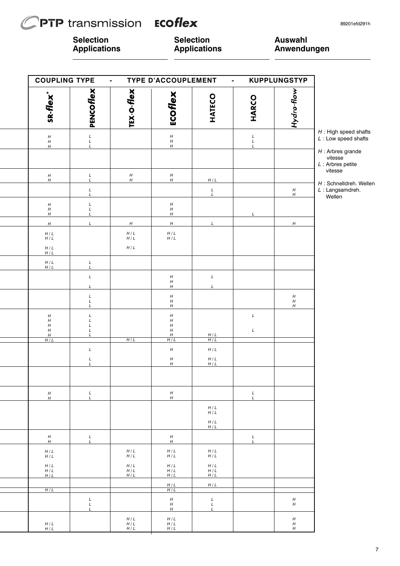# **PTP** transmission  $\mathcal C$

**ECOflex** 

89201efd291h

**Selection Applications** **Selection Applications** **Auswahl Anwendungen**

| <b>COUPLING TYPE</b>                                         |                                            | $\blacksquare$                   | TYPE D'ACCOUPLEMENT                                                         |                         | <b>KUPPLUNGSTYP</b><br>$\blacksquare$      |                                                          |                                                          |
|--------------------------------------------------------------|--------------------------------------------|----------------------------------|-----------------------------------------------------------------------------|-------------------------|--------------------------------------------|----------------------------------------------------------|----------------------------------------------------------|
| SR-flex®                                                     | PENCOFIEX                                  | <b>TEX O-flex</b>                | ECOflex                                                                     | HATECO                  | <b>HARCO</b>                               | Hydro-flow                                               |                                                          |
| $^{\prime\prime}_{\prime\prime}$                             | $_L^L$<br>$\cal L$                         |                                  | $^{\prime\prime}_{\prime\prime}$<br>H                                       |                         | $\begin{array}{c} L \\ L \\ L \end{array}$ |                                                          | $H$ : High speed shafts<br>$L:$ Low speed shafts         |
| Η                                                            |                                            |                                  |                                                                             |                         |                                            |                                                          | $H$ : Arbres grande<br>vitesse                           |
| $\begin{array}{c} H \\ H \end{array}$                        | $_L^L$                                     | $^{\prime\prime}_{\prime\prime}$ | $_H^{\!H}$                                                                  | H/L                     |                                            |                                                          | $L:$ Arbres petite<br>vitesse<br>H : Schnelldreh. Wellen |
|                                                              | $_L^L$                                     |                                  |                                                                             | $L$                     |                                            | $_{H}^{\prime}$                                          | $L$ : Langsamdreh.<br>Wellen                             |
| $^{\prime\prime}_{\prime\prime}$<br>$\boldsymbol{H}$         | $_L^L$<br>$\mathsf{L}$                     |                                  | $\boldsymbol{H}$<br>$^{\prime\prime}_{\prime\prime}$                        |                         | L                                          |                                                          |                                                          |
| H                                                            | $\mathsf L$                                | $\boldsymbol{H}$                 | H                                                                           | L                       |                                            | H                                                        |                                                          |
| $H/L$<br>$H/L$                                               |                                            | $H/L$<br>$H/L$                   | $H/L$ $H/L$                                                                 |                         |                                            |                                                          |                                                          |
| $\frac{H/L}{H/L}$                                            |                                            | $H/L$                            |                                                                             |                         |                                            |                                                          |                                                          |
| $\begin{array}{c} H/L \\ H/L \end{array}$                    | $_L^L$                                     |                                  |                                                                             |                         |                                            |                                                          |                                                          |
|                                                              | $\cal L$<br>L                              |                                  | $\boldsymbol{H}$<br>$^{\prime\prime}_{\prime\prime}$                        | $\cal L$<br>L           |                                            |                                                          |                                                          |
|                                                              | $\begin{array}{c} L \\ L \\ L \end{array}$ |                                  | $\boldsymbol{H}$<br>$\boldsymbol{H}$<br>$\boldsymbol{H}$                    |                         |                                            | $\begin{array}{c} H \\ H \\ H \end{array}$               |                                                          |
| $_{H}^{\prime}$<br>$\boldsymbol{H}$<br>$\boldsymbol{H}$<br>H | $_L^L$<br>L<br>L<br>L                      |                                  | $_{H}^{\prime}$<br>$\boldsymbol{H}$<br>$\boldsymbol{H}$<br>$\boldsymbol{H}$ |                         | $\cal L$<br>L                              |                                                          |                                                          |
| H/L                                                          |                                            | H/L                              | H/L                                                                         | $\frac{H/L}{H/L}$       |                                            |                                                          |                                                          |
|                                                              | $\cal L$<br>L                              |                                  | $\boldsymbol{H}$<br>H                                                       | $H/L$<br>$H/L$<br>$H/L$ |                                            |                                                          |                                                          |
|                                                              |                                            |                                  |                                                                             |                         |                                            |                                                          |                                                          |
| $\boldsymbol{H}$<br>H                                        | L<br>$\cal L$                              |                                  | $\boldsymbol{H}$<br>$\boldsymbol{H}$                                        |                         | L<br>L                                     |                                                          |                                                          |
|                                                              |                                            |                                  |                                                                             | H/L<br>H/L              |                                            |                                                          |                                                          |
|                                                              |                                            |                                  |                                                                             | H/L<br>H/L              |                                            |                                                          |                                                          |
| $^{\prime\prime}_{\prime\prime}$                             | $_L^L$                                     |                                  | $\boldsymbol{H}$<br>$\boldsymbol{H}$                                        |                         | $_L^L$                                     |                                                          |                                                          |
| H/L<br>H/L                                                   |                                            | H/L<br>$H/L$                     | H/L<br>H/L                                                                  | H/L<br>H/L              |                                            |                                                          |                                                          |
| H/L<br>H/L<br>H/L                                            |                                            | $H/L$<br>H/L<br>H/L              | H/L<br>H/L<br>H/L                                                           | H/L<br>H/L<br>H/L       |                                            |                                                          |                                                          |
| H/L                                                          |                                            |                                  | H/L<br>H/L                                                                  | H/L                     |                                            |                                                          |                                                          |
|                                                              | L<br>$\cal L$                              |                                  | $\boldsymbol{H}$<br>$\boldsymbol{H}$<br>$\boldsymbol{H}$                    | L<br>L<br>L             |                                            | $H_{\rm}$<br>$\boldsymbol{H}$                            |                                                          |
| $H/L$<br>H/L                                                 |                                            | $H/L$<br>$H/L$<br>$H/L$          | $H/L$<br>H/L<br>$H/L$                                                       |                         |                                            | $\boldsymbol{H}$<br>$\boldsymbol{H}$<br>$\boldsymbol{H}$ |                                                          |
|                                                              |                                            |                                  |                                                                             |                         |                                            |                                                          |                                                          |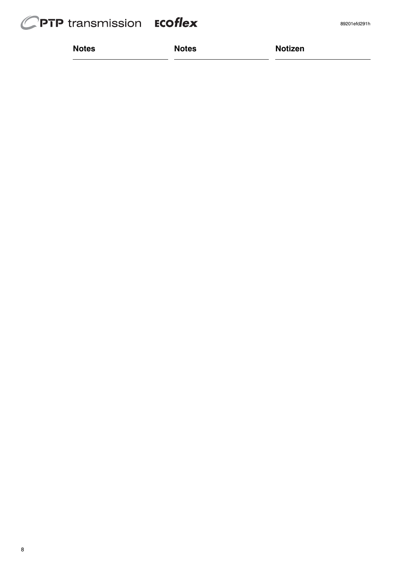# CPTP transmission Ecoflex

| <b>Notes</b> | <b>Notes</b> | <b>Notizen</b> |
|--------------|--------------|----------------|
|              |              |                |

89201efd291h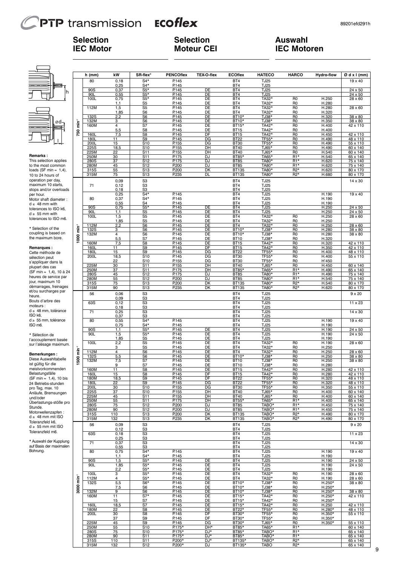# **PTP** transmission

# ECOflex

**Selection IEC Motor**

# **Selection Moteur CEI**

# **Auswahl IEC Motoren**

|                                                     |                 | h (mm)          | kW              | SR-flex®                                 | <b>PENCOflex</b> | <b>TEX-O-flex</b>      | <b>ECOflex</b>              | <b>HATECO</b>              | <b>HARCO</b>                       | <b>Hydro-flow</b>    | Ød x I (mm)          |
|-----------------------------------------------------|-----------------|-----------------|-----------------|------------------------------------------|------------------|------------------------|-----------------------------|----------------------------|------------------------------------|----------------------|----------------------|
|                                                     |                 | 80              | 0,18            | $S4*$<br>$S4*$                           | P.145<br>P.145   |                        | BT4<br>BT4                  | <b>TJ25</b><br><b>TJ25</b> |                                    |                      | $19 \times 40$       |
| h                                                   |                 | 90S             | 0,25<br>0,37    | $S5*$                                    | P.145            | DE                     | BT <sub>4</sub>             | <b>TJ25</b>                |                                    |                      | 24 x 50              |
|                                                     |                 | 90L<br>100L     | 0,55<br>0,75    | $S5*$<br>$S5*$                           | P.145<br>P.145   | DE<br>DE               | BT4<br>BT4                  | <b>TJ25</b><br>TA32*       | R <sub>0</sub>                     | H.250                | 24 x 50<br>28 x 60   |
|                                                     |                 |                 | 1,1             | S <sub>5</sub>                           | P.145            | DE                     | BT4                         | TA32*                      | R <sub>0</sub>                     | H.280                |                      |
|                                                     |                 | 112M            | 1,5<br>1,85     | S <sub>5</sub><br>S <sub>6</sub>         | P.145<br>P.145   | DE<br>DE               | BT4<br>BT4                  | TA32*<br>TA32*             | R <sub>0</sub><br>R <sub>0</sub>   | H.280<br>H.320       | 28 x 60              |
|                                                     |                 | 132S<br>132M    | 2,2<br>з        | S <sub>6</sub><br>$\overline{\text{S6}}$ | P.145<br>P.145   | DE<br>DE               | BT10*<br>BT10*              | TJ38*<br>TJ38*             | R <sub>0</sub><br>R <sub>0</sub>   | H.320<br>H.350       | 38 x 80<br>38 x 80   |
| Ød                                                  | in              | 160M            | 4               | S7                                       | P.145            | DE                     | BT15*                       | TA42*                      | R <sub>0</sub>                     | H.400                | 42 x 110             |
|                                                     | 750             | 160L            | 5,5<br>7,5      | S8<br>S8                                 | P.145<br>P.145   | DE<br>DF               | <b>BT15</b><br><b>BT15</b>  | TA42*<br>TA42*             | R <sub>0</sub><br>R <sub>0</sub>   | H.400<br>H.450       | 42 x 110             |
|                                                     |                 | 180L            | 11              | S9                                       | P.145            | DG                     | <b>BT22</b>                 | TF55*                      | R <sub>0</sub>                     | H.490                | 48 x 110             |
|                                                     |                 | 200L<br>225S    | 15<br>18,5      | S <sub>10</sub><br>S <sub>10</sub>       | P.155<br>P.155   | DG<br>DH               | <b>BT30</b><br><b>BT40</b>  | TF55*<br>TJ65*             | R <sub>0</sub><br>R <sub>0</sub>   | H.490<br>H.490       | 55 x 110<br>60 x 140 |
| Remarks:                                            |                 | 225M<br>250M    | 22<br>30        | S <sub>11</sub><br>S <sub>11</sub>       | P.155<br>P.175   | DH<br><b>DJ</b>        | <b>BT40</b><br>BT85*        | TJ65*<br>TA65*             | R <sub>0</sub><br>$R1*$            | H.540<br>H.540       | 60 x 140<br>65 x 140 |
| This selection applies                              |                 | 280S            | 37              | S <sub>12</sub>                          | P.175            | <b>DJ</b>              | <b>BT85</b>                 | TA80*                      | R1*                                | H.620                | 75 x 140             |
| to the most common<br>loads (SF min $\approx$ 1,4), |                 | 280M<br>315S    | 45<br>55        | S <sub>12</sub><br>S <sub>13</sub>       | P.200<br>P.200   | <b>DJ</b><br>DK        | <b>BT85</b><br><b>BT135</b> | TA80*<br>TA80*             | R <sub>1</sub> *<br>R2*            | H.620<br>H.620       | 75 x 140<br>80 x 170 |
| 10 to 24 hours of                                   |                 | 315M            | 75              | S <sub>13</sub>                          | P.235            | DL                     | BT135                       | TA80*                      | R <sub>2</sub> *                   | H.680                | 80 x 170             |
| operation per day,<br>maximum 10 starts,            |                 | 71              | 0,09<br>0,12    | S <sub>3</sub><br>S3                     |                  |                        | BT4<br>BT4                  | <b>TJ25</b><br><b>TJ25</b> |                                    |                      | 14 x 30              |
| stops and/or overloads                              |                 |                 | 0,18            | S <sub>3</sub>                           |                  |                        | BT4                         | <b>TJ25</b>                |                                    |                      |                      |
| per hour.<br>Motor shaft diameter :                 |                 | 80              | 0,25<br>0,37    | $S4*$<br>$S4*$                           | P.145<br>P.145   |                        | BT4<br>BT4                  | <b>TJ25</b><br><b>TJ25</b> |                                    | H.190<br>H.190       | $19 \times 40$       |
| $d \leq 48$ mm with                                 |                 |                 | 0,55            | S <sub>4</sub>                           | P.145            |                        | BT4                         | <b>TJ25</b>                |                                    | H.190                |                      |
| tolerances to ISO k6.<br>$d \geq 55$ mm with        |                 | 90S<br>90L      | 0,75<br>1,1     | $S5*$<br>S <sub>5</sub>                  | P.145<br>P.145   | DE<br>DE               | BT4<br>BT4                  | <b>TJ25</b><br>TJ25        |                                    | H.250<br>H.250       | 24 x 50<br>24 x 50   |
| tolerances to ISO m6.                               |                 | 100L            | 1,5             | S <sub>5</sub>                           | P.145            | DE                     | BT4                         | TA32*                      | R <sub>0</sub>                     | H.250                | 28 x 60              |
|                                                     |                 | 112M            | 1,85<br>2,2     | S <sub>5</sub><br>S6                     | P.145<br>P.145   | DE<br>DE               | BT4<br>BT4                  | TA32*<br>TA32*             | R <sub>0</sub><br>R <sub>0</sub>   | H.250<br>H.250       | 28 x 60              |
| * Selection of the<br>coupling is based on          | $\frac{1}{E}$   | 132S<br>132M    | 3<br>4          | S <sub>6</sub><br>S <sub>6</sub>         | P.145<br>P.145   | DE<br>DE               | BT10*<br>BT10*              | TJ38*<br>TJ38*             | R <sub>0</sub><br>R <sub>0</sub>   | H.280<br>H.280       | 38 x 80<br>38 x 80   |
| the maximum bore.                                   | 8               |                 | 5,5             | S7                                       | P.145            | DE                     | <b>BT10</b>                 | TJ38*                      | R <sub>0</sub>                     | H.320                |                      |
| Remarques:                                          |                 | 160M<br>160L    | 7,5<br>11       | S <sub>8</sub><br>S9                     | P.145<br>P.145   | DE<br>DF               | <b>BT15</b><br>BT15         | TA42*<br>TA42*             | R <sub>0</sub><br>R <sub>0</sub>   | H.320<br>H.350       | 42 x 110<br>42 x 110 |
| Cette méthode de                                    |                 | 180L            | 15              | S <sub>9</sub>                           | P.145            | DG                     | <b>BT22</b>                 | TF55*                      | R0                                 | H.400                | 48 x 110             |
| sélection peut                                      |                 | 200L            | 18,5<br>22      | S <sub>10</sub><br>S <sub>10</sub>       | P.145<br>P.155   | DG<br>DG               | <b>BT30</b><br><b>BT30</b>  | TF55*<br>TF55*             | R <sub>0</sub><br>R <sub>0</sub>   | H.400<br>H'450       | 55 x 110             |
| s'appliquer dans la<br>plupart des cas              |                 | 225M            | 30              | S <sub>11</sub>                          | P.155            | DH                     | <b>BT40</b>                 | TJ65*                      | R <sub>0</sub>                     | H.450                | 60 x 140             |
| (SF min ≈ 1,4), 10 à 24                             |                 | 250M<br>280S    | 37<br>45        | S <sub>11</sub><br>S <sub>12</sub>       | P.175<br>P.175   | DH<br>DJ               | BT85*<br><b>BT85</b>        | TA65*<br>TA80*             | R1*<br>R1*                         | H.490<br>H.490       | 65 x 140<br>75 x 140 |
| heures de service par<br>jour, maximum 10           |                 | 280M            | 55              | S <sub>12</sub>                          | P.200            | <b>DJ</b>              | <b>BT85</b>                 | TA80*                      | R1*                                | H.540                | 75 x 140             |
| démarrages, freinages                               |                 | 315S<br>315M    | 75<br>90        | S <sub>13</sub><br>S <sub>13</sub>       | P.200<br>P.235   | DK<br>DK               | BT135<br>BT135              | TA80*<br>TA80*             | R2*<br>R2*                         | H.540<br>H.620       | 80 x 170<br>80 x 170 |
| et/ou surcharges par<br>heure.                      |                 | 56              | 0,06            | S3                                       |                  |                        | BT4                         | <b>TJ25</b>                |                                    |                      | $9 \times 20$        |
| Bouts d'arbre des                                   |                 | 63S             | 0,09<br>0,12    | S <sub>3</sub><br>S3                     |                  |                        | BT4<br>BT4                  | TJ25<br><b>TJ25</b>        |                                    |                      | 11 x 23              |
| moteurs :<br>$d \leq 48$ mm, tolérance              |                 |                 | 0,18            | S3                                       |                  |                        | BT4                         | <b>TJ25</b>                |                                    |                      |                      |
| ISO k6                                              |                 | 71              | 0,25<br>0,37    | S <sub>3</sub><br>S <sub>3</sub>         |                  |                        | BT4<br>BT4                  | <b>TJ25</b><br><b>TJ25</b> |                                    |                      | 14 x 30              |
| $d \geq 55$ mm, tolérance                           |                 | 80              | 0,55            | $\overline{S4*}$<br>$S4*$                | P.145            |                        | BT4<br>BT4                  | TJ25                       |                                    | H.190                | 19 x 40              |
| ISO m6.                                             |                 | 90S             | 0,75<br>1,1     | $S5*$                                    | P.145<br>P.145   | DE                     | BT4                         | TJ25<br><b>TJ25</b>        |                                    | H.190<br>H.190       | 24 x 50              |
| * Sélection de                                      |                 | 90L             | 1,5<br>1,85     | $S5*$<br>S <sub>5</sub>                  | P.145<br>P.145   | DE<br>DE               | BT <sub>4</sub><br>BT4      | <b>TJ25</b><br><b>TJ25</b> |                                    | H.190<br>H.190       | 24 x 50              |
| l'accouplement basée<br>sur l'alésage maximum.      |                 | 100L            | 2,2             | S <sub>5</sub>                           | P.145            | DE                     | BT4                         | TA32*                      | R <sub>0</sub>                     | H.190                | 28 x 60              |
|                                                     | in<br>E         | 112M            | з<br>4          | S <sub>5</sub><br>S <sub>6</sub>         | P.145<br>P.145   | DE<br>DE               | BT4<br>BT4                  | TA32*<br>TA32*             | R <sub>0</sub><br>R <sub>0</sub>   | H.250<br>H.250       | 28 x 60              |
| <b>Bemerkungen:</b><br>Diese Auswahltabelle         | SO <sub>S</sub> | 132S            | 5,5             | S <sub>6</sub>                           | P.145            | DE                     | BT10*                       | TJ38*                      | R <sub>0</sub>                     | H.250                | 38 x 80              |
| ist gültig für die                                  | Ŧ               | 132M            | 7,5<br>9        | S7<br><b>S7</b>                          | P.145<br>P.145   | DE<br>DE               | <b>BT10</b><br><b>BT10</b>  | $TJ38*$<br>TJ38*           | R0<br>R <sub>0</sub>               | H.250<br>H.280       | 38 x 80              |
| meistvorkommenden<br>Belastungsfälle                |                 | 160M<br>160L    | 11<br>15        | S8<br>S8                                 | P.145<br>P.145   | DE<br>DF               | <b>BT15</b><br><b>BT15</b>  | TA42*<br>TA42*             | R <sub>0</sub><br>R <sub>0</sub>   | H.280<br>H.280       | 42 x 110<br>42 x 110 |
| (SF min $\approx$ 1,4), 10 bis                      |                 | 180M            | 18,5            | S9                                       | P.145            | DF                     | <b>BT22</b>                 | TF55*                      | R0                                 | H.320                | 48 x 110             |
| 24 Betriebs-stunden<br>pro Tag, max. 10             |                 | 180L<br>$200$ L | 22<br>30        | S9<br>S10                                | P.145<br>P.155   | DG<br>DG               | <b>BT22</b><br><b>BT30</b>  | TF55*<br>TF55*             | R <sub>0</sub><br>R <sub>0</sub>   | H.320<br>H.350       | 48 x 110<br>55 x 110 |
| Anläufe, Bremsungen                                 |                 | 225S            | 37              | S10                                      | P.155            | DH                     | <b>BT40</b>                 | TJ65*                      | R <sub>0</sub>                     | H.400                | 60 x 140             |
| und/oder<br>Überlastungs-stöße pro                  |                 | 225M<br>250M    | 45<br>55        | S11<br>S11                               | P.155<br>P.175   | DH<br>DH               | <b>BT40</b><br>BT55*        | TJ65*<br>TA65*             | R <sub>0</sub><br>R <sub>1</sub> * | H.400<br>H.400       | 60 x 140<br>65 x 140 |
| Stunde.                                             |                 | 280S<br>280M    | 75<br>90        | S12<br>S <sub>12</sub>                   | P.200<br>P.200   | <b>DJ</b><br><b>DJ</b> | <b>BT85</b><br><b>BT85</b>  | TABO*<br>TABO*             | $R1*$<br>R1*                       | H.450<br>H.450       | 75 x 140<br>75 x 140 |
| Motorwellenzapfen:<br>$d \leq 48$ mm mit ISO        |                 | 315S            | 110             | S <sub>13</sub>                          | P.200            | DK                     | BT135                       | TABO*                      | $R2*$                              | H.490                | 80 x 170             |
| Toleranzfeld k6,                                    |                 | 315M            | 132             | S13                                      | P.235            | DK                     | BT135                       | TABO*                      | $R2*$                              | H.490                | 80 x 170             |
| $d \geq 55$ mm mit ISO                              |                 | 56              | 0,09<br>0,12    | S3                                       |                  |                        | BT4<br>BT4                  | <b>TJ25</b><br><b>TJ25</b> |                                    |                      | $9 \times 20$        |
| Toleranzfeld m6.                                    |                 | 63S             | 0, 18           | $\frac{S3}{S3}$                          |                  |                        | BT4                         | <b>TJ25</b>                |                                    |                      | 11 x 23              |
| * Auswahl der Kupplung                              |                 | 71              | 0,25<br>0,37    | S3<br>S3                                 |                  |                        | BT4<br>BT4                  | <b>TJ25</b><br><b>TJ25</b> |                                    |                      | 14 x 30              |
| auf Basis der maximalen<br>Bohrung.                 |                 | 80              | 0,55<br>0,75    | S3<br>$S4*$                              | P.145            |                        | BT4<br>BT4                  | <b>TJ25</b><br><b>TJ25</b> |                                    | H.190                | 19 x 40              |
|                                                     |                 |                 | 1,1             | $S4*$                                    | P.145            |                        | BT4                         | <b>TJ25</b>                |                                    | H.190                |                      |
|                                                     |                 | 90S<br>90L      | 1,5<br>1,85     | $S5*$<br>$S5*$                           | P.145<br>P.145   | DE<br>DE               | BT4<br>BT4                  | <b>TJ25</b><br><b>TJ25</b> |                                    | H.190<br>H.190       | 24 x 50<br>24 x 50   |
|                                                     |                 |                 | 2,2             | $S5*$                                    | P.145            | DE                     | BT4                         | <b>TJ25</b>                |                                    | H.190                |                      |
|                                                     | $\frac{1}{E}$   | 100L<br>112M    | 3<br>4          | $\overline{S5*}$<br>$S5*$                | P.145<br>P.145   | DE<br>DE               | BT4<br>BT4                  | TA32*<br>TA32*             | R <sub>0</sub><br>R <sub>0</sub>   | H.190<br>H.190       | 28 x 60<br>28 x 60   |
|                                                     |                 | 132S            | 5,5             | $S6*$<br>S6                              | P.145            | DE<br>DE               | BT10*<br>BT10*              | TJ38*                      | R <sub>0</sub><br>R <sub>0</sub>   | $H.250*$             | 38 x 80              |
|                                                     | 3000            | 132M            | 7,5<br>9        | S6                                       | P.145<br>P.145   | DE                     | <b>BT10*</b>                | TJ38*<br>TJ38*             | R <sub>0</sub>                     | $H.250*$<br>$H.250*$ | 38 x 80              |
|                                                     |                 | 160M            | 11<br>15        | $S7*$<br>S7                              | P.145<br>P.145   | DE<br>DE               | <b>BT15*</b><br>BT15*       | TA42*<br>TA42*             | R <sub>0</sub><br>R <sub>0</sub>   | $H.250*$<br>$H.250*$ | 42 x 110             |
|                                                     |                 | 160L            | 18,5            | <b>S7</b>                                | P.145            | DE                     | BT15*                       | TA42*                      | R <sub>0</sub>                     | H.250                | 42 x 110             |
|                                                     |                 | 180M<br>200L    | 22<br>30        | S8<br>S8                                 | P.145<br>P.145   | DE<br>DF               | BT22*<br>BT30*              | TF55*<br>TF55*             | R <sub>0</sub><br>R <sub>0</sub>   | $H.280*$<br>H.350*   | 48 x 110<br>55 x 110 |
|                                                     |                 |                 | 37              | <b>S9</b>                                | P.145            | DF                     | BT30*                       | TF55*                      | R <sub>0</sub>                     | $H.350*$             |                      |
|                                                     |                 | 225M<br>250M    | 45<br>55        | S9<br>S <sub>10</sub>                    | P.145<br>P.175*  | DG<br>DH*              | BT30*<br>BT85*              | TJ65*<br>TA65*             | R <sub>0</sub><br>R1*              | H.350*               | 55 x 110<br>60 x 140 |
|                                                     |                 | 280S<br>280M    | <u>75</u><br>90 | S10<br>S11                               | P.175*<br>P.175* | DJ*<br>$DJ*$           | BT85*<br>BT85*              | TABO*<br>TABO*             | R1*<br>$R1*$                       |                      | 65 x 140<br>65 x 140 |
|                                                     |                 | 315S            | 110             | S11                                      | P.200*           | <u>DJ*</u>             | BT135*                      | TABO*                      | $R2*$                              |                      | 65 x 140             |
|                                                     |                 | 315M            | 132             | S <sub>12</sub>                          | P.200*           | DJ                     | BT135*                      | <b>TABO</b>                | $R2*$                              |                      | 65 x 140             |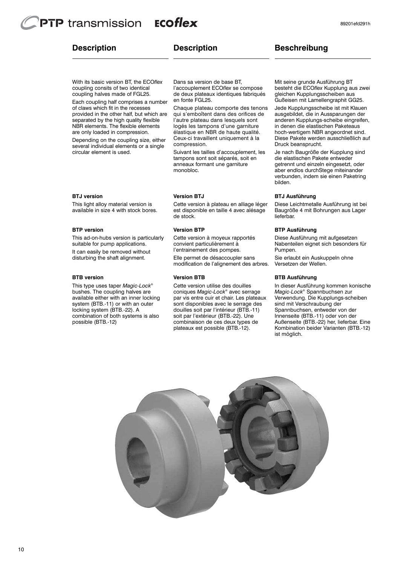# **Description**

# **Description**

#### 89201efd291h

# **Beschreibung**

With its basic version BT, the ECO*flex* coupling consits of two identical coupling halves made of FGL25.

Each coupling half comprises a number of claws which fit in the recesses provided in the other half, but which are separated by the high quality flexible NBR elements. The flexible elements are only loaded in compression.

Depending on the coupling size, either several individual elements or a single circular element is used.

#### **BTJ version**

This light alloy material version is available in size 4 with stock bores.

#### **BTP version**

This ad-on-hubs version is particularly suitable for pump applications. It can easily be removed without disturbing the shaft alignment.

#### **BTB version**

This type uses taper *Magic-Lock®* bushes. The coupling halves are available either with an inner locking system (BTB.-11) or with an outer locking system (BTB.-22). A combination of both systems is also possible (BTB.-12)

Dans sa version de base BT, l'accouplement ECO*flex* se compose de deux plateaux identiques fabriqués en fonte FGL25.

Chaque plateau comporte des tenons qui s'emboîtent dans des orifices de l'autre plateau dans lesquels sont logés les tampons d'une garniture élastique en NBR de haute qualité. Ceux-ci travaillent uniquement à la compression.

Suivant les tailles d'accouplement, les tampons sont soit séparés, soit en anneaux formant une garniture monobloc.

#### **Version BTJ**

Cette version à plateau en alliage léger est disponible en taille 4 avec alésage de stock.

#### **Version BTP**

Cette version à moyeux rapportés convient particulièrement à l'entrainement des pompes.

Elle permet de désaccoupler sans modification de l'alignement des arbres.

#### **Version BTB**

Cette version utilise des douilles coniques *Magic-Lock®* avec serrage par vis entre cuir et chair. Les plateaux sont disponibles avec le serrage des douilles soit par l'intérieur (BTB.-11) soit par l'extérieur (BTB.-22). Une combinaison de ces deux types de plateaux est possible (BTB.-12).

Mit seine grunde Ausführung BT besteht die ECO*flex* Kupplung aus zwei gleichen Kupplungsscheiben aus Gußeisen mit Lamellengraphit GG25.

Jede Kupplungsscheibe ist mit Klauen ausgebildet, die in Aussparungen der anderen Kupplungs-scheibe eingreifen, in denen die elastischen Paketeaus hoch-wertigem NBR angeordnet sind. Diese Pakete werden ausschließlich auf Druck beansprucht.

Je nach Baugröße der Kupplung sind die elastischen Pakete entweder getrennt und einzeln eingesetzt, oder aber endlos durchStege miteinander verbunden, indem sie einen Paketring bilden.

#### **BTJ Ausführung**

Diese Leichtmetalle Ausführung ist bei Baugröße 4 mit Bohrungen aus Lager lieferbar.

#### **BTP Ausführung**

Diese Ausführung mit aufgesetzen Nabenteilen eignet sich besonders für Pumpen.

Sie erlaubt ein Auskuppeln ohne Versetzen der Wellen.

#### **BTB Ausführung**

In dieser Ausführung kommen konische *Magic-Lock®* Spannbuchsen zur Verwendung. Die Kupplungs-scheiben sind mit Verschraubung der Spannbuchsen, entweder von der Innenseite (BTB.-11) oder von der Außenseite (BTB.-22) her, lieferbar. Eine Kombination beider Varianten (BTB.-12) ist möglich.

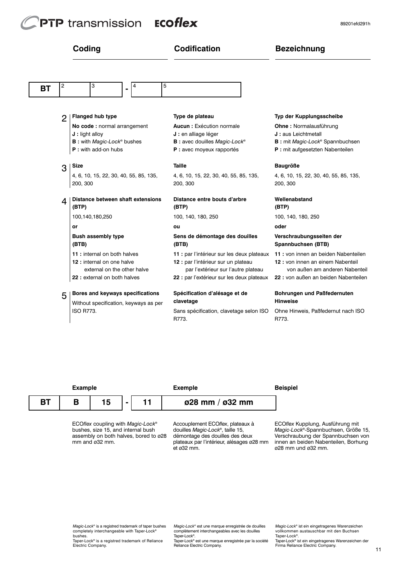# PTP transmission Ecoflex

# **Coding Codification**

# **Bezeichnung**

| ВТ | 2 | 3                                                                                         | 4 | 5                                                                                                                        |
|----|---|-------------------------------------------------------------------------------------------|---|--------------------------------------------------------------------------------------------------------------------------|
|    |   |                                                                                           |   |                                                                                                                          |
|    | 2 | <b>Flanged hub type</b>                                                                   |   | Type de plateau                                                                                                          |
|    |   | No code: normal arrangement                                                               |   | Aucun: Exécution normale                                                                                                 |
|    |   | J: light alloy                                                                            |   | J : en alliage léger                                                                                                     |
|    |   | <b>B</b> : with <i>Magic-Lock<sup>®</sup> bushes</i>                                      |   | <b>B</b> : avec douilles Magic-Lock <sup>®</sup>                                                                         |
|    |   | <b>P</b> : with add-on hubs                                                               |   | <b>P</b> : avec moyeux rapportés                                                                                         |
|    | 3 | <b>Size</b>                                                                               |   | <b>Taille</b>                                                                                                            |
|    |   | 4, 6, 10, 15, 22, 30, 40, 55, 85, 135,                                                    |   | 4, 6, 10, 15, 22, 30, 40, 55, 85, 135,                                                                                   |
|    |   | 200, 300                                                                                  |   | 200, 300                                                                                                                 |
|    | 4 | Distance between shaft extensions<br>(BTP)                                                |   | Distance entre bouts d'arbre<br>(BTP)                                                                                    |
|    |   | 100,140,180,250                                                                           |   | 100, 140, 180, 250                                                                                                       |
|    |   | or                                                                                        |   | ou                                                                                                                       |
|    |   | <b>Bush assembly type</b><br>(BTB)                                                        |   | Sens de démontage des douilles<br>(BTB)                                                                                  |
|    |   | 11 : internal on both halves<br>12 : internal on one halve<br>external on the other halve |   | 11 : par l'intérieur sur les deux plateaux<br>12 : par l'intérieur sur un plateau<br>par l'extérieur sur l'autre plateau |
|    |   | 22 : external on both halves                                                              |   | 22 : par l'extérieur sur les deux plateaux                                                                               |
|    | 5 | Bores and keyways specifications                                                          |   | Spécification d'alésage et de                                                                                            |
|    |   | Without specification, keyways as per                                                     |   | clavetage                                                                                                                |
|    |   | <b>ISO R773.</b>                                                                          |   | Sans spécification, clavetage selon ISO<br>R773.                                                                         |

#### **Typ der Kupplungsscheibe**

**Ohne :** Normalausführung **J :** aus Leichtmetall **B :** mit *Magic-Lock*® Spannbuchsen **P :** mit aufgesetzten Nabenteilen

### **Baugröße**

4, 6, 10, 15, 22, 30, 40, 55, 85, 135, 200, 300

## **Wellenabstand**

100, 140, 180, 250

**oder**

**(BTP)**

### **Verschraubungsseiten der Spannbuchsen (BTB)**

**11 :** von innen an beiden Nabenteilen **12 :** von innen an einem Nabenteil

von außen am anderen Nabenteil **22 :** von außen an beiden Nabenteilen

### **Bohrungen und Paßfedernuten Hinweise**

Ohne Hinweis, Paßfedernut nach ISO R773.



ECO*flex* coupling with *Magic-Lock*® bushes, size 15, and internal bush assembly on both halves, bored to ø28 mm and ø32 mm.

Accouplement ECO*flex*, plateaux à douilles *Magic-Lock*®, taille 15, démontage des douilles des deux plateaux par l'intérieur, alésages ø28 mm  $et \alpha$ 32 mm.

ECO*flex* Kupplung, Ausführung mit *Magic-Lock*®-Spannbuchsen, Größe 15, Verschraubung der Spannbuchsen von innen an beiden Nabenteilen, Borhung ø28 mm und ø32 mm.

*Magic-Lock*® is a registred trademark of taper bushes completely interchangeable with Taper-Lock® bushes.

Taper-Lock® is a registred trademark of Reliance Electric Company.

*Magic-Lock*® est une marque enregistrée de douilles complètement interchangeables avec les douilles Taper-Lock<sup>®</sup>.

Taper-Lock® est une marque enregistrée par la société Reliance Electric Company.

*Magic-Lock*® ist ein eingetragenes Warenzeichen vollkommen austauschbar mit den Buchsen Taper-Lock®.

Taper-Lock® ist ein eingetragenes Warenzeichen der Firma Reliance Electric Company.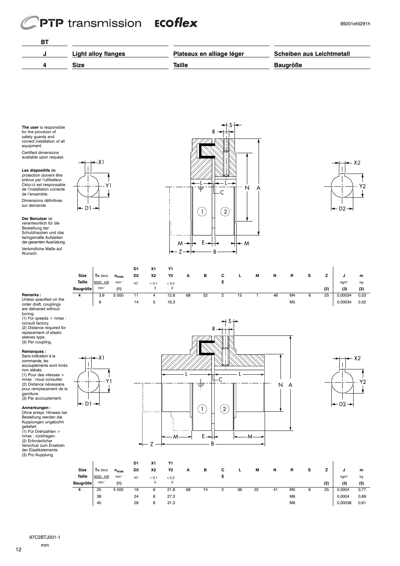# ECOflex **CPTP** transmission

Ť

Y<sub>2</sub>

 $x^2$ 

 $-D2 \rightarrow$ 

and the state of the state of the state of



**The user** is responsible for the provision of safety guards and correct installation of all equipment. Certified dimensions available upon request.

**Les dispositifs** de protection doivent être prévus par l'utilisateur. Celui-ci est responsable de l'installation correcte de l'ensemble. Dimensions définitives



**Der Benutzer** ist verantwortlich für die Beistellung der Schutzhauben und das fachgemäße Aufstellen der gesamten Ausrüstung.

sur demande.

Verbindliche Maße auf Wunsch.



 $\overline{R}$ 

THE STRIP H

**CONTRACTOR**   $\frac{R}{\sqrt{1-\frac{1}{2}}}\left( \frac{R}{\sqrt{1-\frac{1}{2}}}\right)$ R<br>ANN  $\overline{a}$ 

 $\frac{1}{\sqrt{2}}$ **The Contract of the Contract of the Contract of The Contract of The Contract of The Contract of The Contract o SANAS**<br>TIMBA<br>TIMBA **SHALL** ZII IZ<br>A

 $\Omega$ 

A

M

.S

╢  $\mathbb{H}$  $\mathbb{H}$ H.  $\mathbb{H}$  $\mathbb{H}$  $\mathbb{H}$  $\mathbb{H}$  $\mathbb{H}$  $\mathbb{H}$  $\mathbb{H}$ Τ.

M

 $\overline{7}$ 

N

 $(1)$ 

 $E$ 

 $\frac{1}{2}$  $\frac{1}{1}$  $\begin{array}{c}\n\hline\n\hline\n\end{array}$   $\mathbb{Z}$ ← R<br>ZAN

Unless specified on the order draft, couplings are delivered without boring.

**Remarks :**

(1) For speeds > nmax : consult factory. (2) Distance required for replacement of elastic sleeves type. (3) Per coupling.

#### **Remarques :**

Sans indication à la commande, les accouplements sont livrés non alésés. (1) Pour des vitesses > nmax : nous consulter. (2) Distance nécessaire pour remplacement de la garniture. (3) Par accouplement.

#### **Anmerkungen :**

Ohne entspr. Hinweis bei Bestellung werden die Kupplungen ungebohrt geliefert. (1) Für Drehzahlen > nmax : rückfragen. (2) Erforderlicher Verschub zum Ersetzen der Elastikelemente. (3) Pro Kupplung



97C2BTJ001-1

mm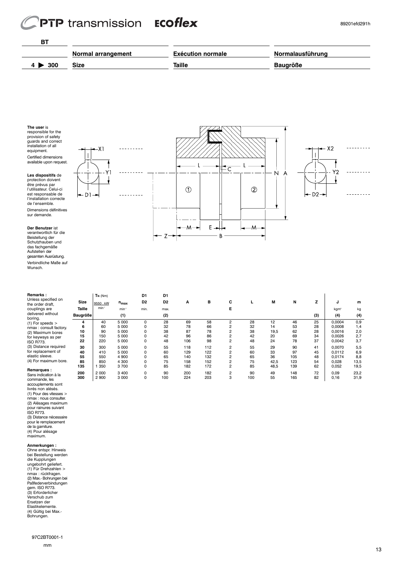## ECOflex **PTP** transmission



**The user** is responsible for the provision of safety guards and correct installation of all equipment. Certified dimensions available upon request.

**Les dispositifs** de protection doivent être prévus par

l'utilisateur. Celui-ci est responsable de l'installation correcte de l'ensemble. Dimensions définitives sur demande.

#### **Der Benutzer** ist

verantwortlich für die Beistellung der Schutzhauben und das fachgemäße Aufstellen der gesamten Ausrüstung. Verbindliche Maße auf Wunsch.



| Remarks:                                |             | $T_N$ ( $Nm$ ) |           | D1             | D <sub>1</sub> |     |     |                |     |      |     |     |                  |      |
|-----------------------------------------|-------------|----------------|-----------|----------------|----------------|-----|-----|----------------|-----|------|-----|-----|------------------|------|
| Unless specified on<br>the order draft, | <b>Size</b> | 9550 . kW      | $n_{max}$ | D <sub>2</sub> | D <sub>2</sub> | А   | в   | с              |     | М    | N   | z   | u                | m    |
| couplings are                           | Taille      | $min-1$        | $min-1$   | min.           | max.           |     |     | E              |     |      |     |     | kgm <sup>2</sup> | kg   |
| delivered without<br>boring.            | Baugröße    |                | (1)       |                | (2)            |     |     |                |     |      |     | (3) | (4)              | (4)  |
| $(1)$ For speeds $>$                    | 4           | 40             | 5 0 0 0   | 0              | 28             | 69  | 58  | 2              | 28  | 12   | 46  | 25  | 0.0004           | 0,9  |
| nmax: consult factory.                  | 6           | 60             | 5 0 0 0   | 0              | 32             | 78  | 66  |                | 32  | 14   | 53  | 28  | 0.0008           | 1,4  |
| (2) Maximum bores                       | 10          | 90             | 5 0 0 0   | 0              | 38             | 87  | 78  |                | 38  | 19,5 | 62  | 28  | 0.0016           | 2,0  |
| for keyways as per                      | 15          | 150            | 5 0 0 0   | 0              | 42             | 96  | 86  |                | 42  | 20   | 69  | 34  | 0.0026           | 2,7  |
| <b>ISO R773.</b>                        | 22          | 220            | 5 0 0 0   | 0              | 48             | 106 | 98  | 2              | 48  | 24   | 78  | 37  | 0.0042           | 3,7  |
| (3) Distance required                   | 30          | 300            | 5 0 0 0   | 0              | 55             | 118 | 112 | 2              | 55  | 29   | 90  | 41  | 0.0070           | 5,5  |
| for replacement of                      | 40          | 410            | 5 0 0 0   | 0              | 60             | 129 | 122 |                | 60  | 33   | 97  | 45  | 0.0112           | 6,9  |
| elastic sleeve.                         | 55          | 550            | 4 9 0 0   | 0              | 65             | 140 | 132 | 2              | 65  | 36   | 105 | 48  | 0.0174           | 8,8  |
| (4) For maximum bore.                   | 85          | 850            | 4 3 0 0   | 0              | 75             | 158 | 152 | 2              | 75  | 42,5 | 123 | 54  | 0.028            | 13,5 |
|                                         | 135         | 350            | 3700      | 0              | 85             | 182 | 172 | $\overline{2}$ | 85  | 48,5 | 139 | 62  | 0,052            | 19,5 |
| Remarques :<br>Sans indication à la     | 200         | 2 0 0 0        | 3 4 0 0   | 0              | 90             | 200 | 182 | 2              | 90  | 49   | 148 | 72  | 0,09             | 23,2 |
| commando los                            | 300         | 2 900          | 3 0 0 0   | 0              | 100            | 224 | 203 |                | 100 | 55   | 165 | 82  | 0, 16            | 31,9 |

Sans indication à la commande, les accouplements sont livrés non alésés. (1) Pour des vitesses > nmax : nous consulter. (2) Alésages maximum pour rainures suivant ISO R773. (3) Distance nécessaire pour le remplacement de la garniture. (4) Pour alésage maximum.

#### **Anmerkungen :**

Ohne entspr. Hinweis bei Bestellung werden die Kupplungen ungebohrt geliefert. (1) Für Drehzahlen > nmax : rückfragen. (2) Max.- Bohrungen bei Paßfederverbindungen gem. ISO R773. (3) Erforderlicher Verschub zum Ersetzen der Elastikelemente. (4) Gültig bei Max.- Bohrungen.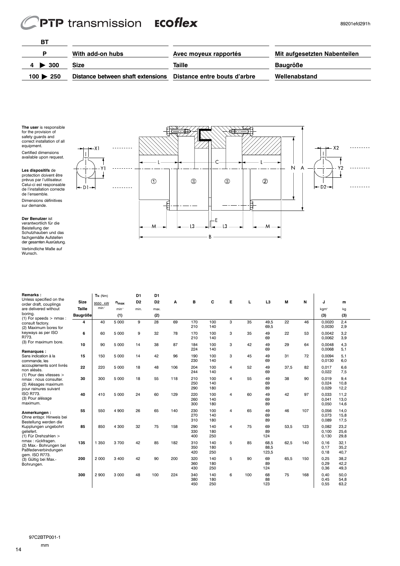

**The user** is responsible for the provision of safety guards and correct installation of all equipment. Certified dimensions available upon request.

**Les dispositifs** de protection doivent être prévus par l'utilisateur. Celui-ci est responsable de l'installation correcte de l'ensemble. Dimensions définitives sur demande.

**Der Benutzer** ist verantwortlich für die Beistellung der Schutzhauben und das fachgemäße Aufstellen der gesamten Ausrüstung. Verbindliche Maße auf Wunsch.



| Remarks:                                                                               |             | $T_N$ ( $Nm$ ) |           | D <sub>1</sub> | D <sub>1</sub> |     |                   |                   |   |     |                       |      |     |                         |                      |  |
|----------------------------------------------------------------------------------------|-------------|----------------|-----------|----------------|----------------|-----|-------------------|-------------------|---|-----|-----------------------|------|-----|-------------------------|----------------------|--|
| Unless specified on the<br>order draft, couplings                                      | <b>Size</b> | 9550.kW        | $n_{max}$ | D <sub>2</sub> | D <sub>2</sub> | А   | в                 | c                 | Е |     | L3                    | м    | N   | J                       | m                    |  |
| are delivered without                                                                  | Taille      | $min^{-1}$     | $min-1$   | min.           | max.           |     |                   |                   |   |     |                       |      |     | kgm <sup>2</sup>        | kg                   |  |
| boring.                                                                                | Baugröße    |                | (1)       |                | (2)            |     |                   |                   |   |     |                       |      |     | (3)                     | (3)                  |  |
| $(1)$ For speeds > nmax :<br>consult factory.<br>(2) Maximum bores for                 | 4           | 40             | 5 0 0 0   | 9              | 28             | 69  | 170<br>210        | 100<br>140        | 3 | 35  | 49,5<br>69,5          | 22   | 46  | 0.0020<br>0,0030        | 2,4<br>2,9           |  |
| keyways as per ISO<br>R773.                                                            | 6           | 60             | 5 0 0 0   | 9              | 32             | 78  | 170<br>210        | 100<br>140        | 3 | 35  | 49<br>69              | 22   | 53  | 0.0042<br>0,0062        | 3,2<br>3,9           |  |
| (3) For maximum bore.<br>Remarques:                                                    | 10          | 90             | 5 0 0 0   | 14             | 38             | 87  | 184<br>224        | 100<br>140        | 3 | 42  | 49<br>69              | 29   | 64  | 0,0048<br>0,0068        | 4,3<br>5.1           |  |
| Sans indication à la<br>commande, les                                                  | 15          | 150            | 5 0 0 0   | 14             | 42             | 96  | 190<br>230        | 100<br>140        | 3 | 45  | 49<br>69              | 31   | 72  | 0,0094<br>0,0130        | 5,1<br>6,0           |  |
| accouplements sont livrés<br>non alésés.<br>(1) Pour des vitesses >                    | 22          | 220            | 5 0 0 0   | 18             | 48             | 106 | 204<br>244        | 100<br>140        | 4 | 52  | 49<br>69              | 37,5 | 82  | 0,017<br>0,022          | 6,6<br>7,5           |  |
| nmax: nous consulter.<br>(2) Alésages maximum<br>pour rainures suivant                 | 30          | 300            | 5 0 0 0   | 18             | 55             | 118 | 210<br>250<br>290 | 100<br>140<br>180 | 4 | 55  | 49<br>69<br>89        | 38   | 90  | 0.019<br>0,024<br>0,029 | 9.4<br>10,8<br>12,2  |  |
| <b>ISO R773.</b><br>(3) Pour alésage<br>maximum.                                       | 40          | 410            | 5 0 0 0   | 24             | 60             | 129 | 220<br>260<br>300 | 100<br>140<br>180 | 4 | 60  | 49<br>69<br>89        | 42   | 97  | 0.033<br>0,041<br>0,050 | 11.2<br>13,0<br>14,6 |  |
| Anmerkungen:<br>Ohne entspr. Hinweis bei<br>Bestellung werden die                      | 55          | 550            | 4 9 0 0   | 26             | 65             | 140 | 230<br>270<br>310 | 100<br>140<br>180 | 4 | 65  | 49<br>69<br>89        | 46   | 107 | 0,056<br>0,073<br>0,089 | 14,0<br>15,8<br>17,5 |  |
| Kupplungen ungebohrt<br>geliefert.<br>(1) Für Drehzahlen >                             | 85          | 850            | 4 3 0 0   | 32             | 75             | 158 | 290<br>330<br>400 | 140<br>180<br>250 | 4 | 75  | 69<br>89<br>124       | 53,5 | 123 | 0,082<br>0,100<br>0,130 | 23,2<br>25,6<br>29,8 |  |
| nmax: rückfragen.<br>(2) Max.- Bohrungen bei<br>Paßfederverbindungen<br>gem. ISO R773. | 135         | 1 3 5 0        | 3700      | 42             | 85             | 182 | 310<br>350<br>420 | 140<br>180<br>250 | 5 | 85  | 68,5<br>88,5<br>123,5 | 62,5 | 140 | 0,16<br>0,17<br>0,18    | 32,1<br>35,2<br>40,7 |  |
| (3) Gültig bei Max.-<br>Bohrungen.                                                     | 200         | 2 0 0 0        | 3 4 0 0   | 42             | 90             | 200 | 320<br>360<br>430 | 140<br>180<br>250 | 5 | 90  | 69<br>89<br>124       | 65.5 | 150 | 0.25<br>0,29<br>0,36    | 38,2<br>42,2<br>49,3 |  |
|                                                                                        | 300         | 2900           | 3 0 0 0   | 48             | 100            | 224 | 340<br>380<br>450 | 140<br>180<br>250 | 6 | 100 | 68<br>88<br>123       | 75   | 168 | 0.40<br>0.45<br>0.55    | 50.0<br>54,8<br>63.2 |  |

450 250 123 0,55 63,2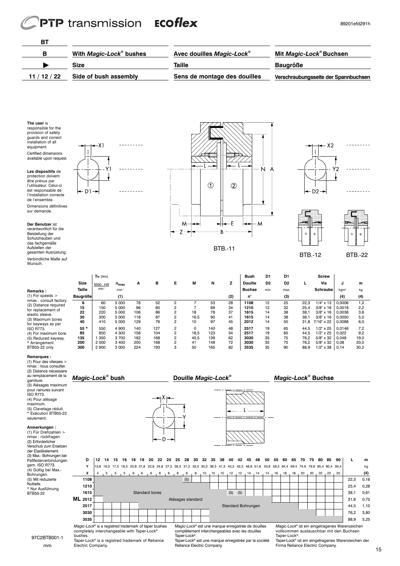# CPTP transmission Ecoflex

| <b>BT</b><br>в<br>11/12/22                                                                                                                                                                                                                                                                                                                                                                                                                                                                                                                                          | With Magic-Lock® bushes<br><b>Size</b><br>Side of bush assembly                                   |                                                                                                                   |                                                                                                                                        |                                                                       |                                                                    |                                                                                                                                                | Avec douilles Magic-Lock®<br><b>Taille</b><br>Sens de montage des douilles                 |                                                                    |                                                                      |                                                                                                                                                                                                                                                                                                     |                                                                                          |                                                                                                 | Mit Magic-Lock® Buchsen<br><b>Baugröße</b><br>Verschraubungsseite der Spannbuchsen |                                                                                                                                                                                                                    |                                                                                                                            |                                                           |                                                                                         |  |  |
|---------------------------------------------------------------------------------------------------------------------------------------------------------------------------------------------------------------------------------------------------------------------------------------------------------------------------------------------------------------------------------------------------------------------------------------------------------------------------------------------------------------------------------------------------------------------|---------------------------------------------------------------------------------------------------|-------------------------------------------------------------------------------------------------------------------|----------------------------------------------------------------------------------------------------------------------------------------|-----------------------------------------------------------------------|--------------------------------------------------------------------|------------------------------------------------------------------------------------------------------------------------------------------------|--------------------------------------------------------------------------------------------|--------------------------------------------------------------------|----------------------------------------------------------------------|-----------------------------------------------------------------------------------------------------------------------------------------------------------------------------------------------------------------------------------------------------------------------------------------------------|------------------------------------------------------------------------------------------|-------------------------------------------------------------------------------------------------|------------------------------------------------------------------------------------|--------------------------------------------------------------------------------------------------------------------------------------------------------------------------------------------------------------------|----------------------------------------------------------------------------------------------------------------------------|-----------------------------------------------------------|-----------------------------------------------------------------------------------------|--|--|
| The user is<br>responsible for the<br>provision of safety<br>quards and correct<br>installation of all<br>equipment.<br>Certified dimensions<br>available upon request.<br>Les dispositifs de<br>protection doivent<br>être prévus par<br>l'utilisateur. Celui-ci<br>est responsable de<br>l'installation correcte<br>de l'ensemble.<br>Dimensions définitives<br>sur demande.<br>Der Benutzer ist<br>verantwortlich für die<br>Beistellung der<br>Schutzhauben und<br>das fachgemäße<br>Aufstellen der<br>gesamten Ausrüstung.<br>Verbindliche Maße auf<br>Wunsch. | ← D1→                                                                                             | -X1                                                                                                               |                                                                                                                                        |                                                                       |                                                                    | M                                                                                                                                              |                                                                                            | ➀                                                                  | $^{\circledR}$<br><b>BTB.-11</b>                                     |                                                                                                                                                                                                                                                                                                     | N<br>A<br>M                                                                              |                                                                                                 | $^\circledR$<br><b>BTB.-12</b>                                                     | - X2<br>$\leftarrow$ D2 $\rightarrow$<br>$^\circledR$                                                                                                                                                              | Υ2                                                                                                                         | $^{\circ}$<br><b>BTB.-22</b>                              | $^{\circledR}$                                                                          |  |  |
| Remarks:<br>$(1)$ For speeds $>$<br>nmax: consult factory.<br>(2) Distance required<br>for replacement of<br>elastic sleeve.<br>(3) Maximum bores<br>for keyways as per<br>ISO R773.<br>(4) For maximum bore.<br>(5) Reduced keyway.<br>* Arrangement<br>BTB55-22 only.                                                                                                                                                                                                                                                                                             | Size<br>Taille<br><b>Baugröße</b><br>6<br>15<br>22<br>30<br>40<br>55 *<br>85<br>135<br>200<br>300 | $T_N$ (Nm)<br>9550.kW<br>$min-1$<br>60<br>150<br>220<br>300<br>410<br>550<br>850<br>1 3 5 0<br>2 0 0 0<br>2 9 0 0 | $n_{max}$<br>$min^{-1}$<br>(1)<br>5 0 0 0<br>5 0 0 0<br>5 0 0 0<br>5 0 0 0<br>5 0 0 0<br>4 900<br>4 300<br>3 700<br>3 4 0 0<br>3 0 0 0 | А<br>78<br>96<br>106<br>118<br>129<br>140<br>158<br>182<br>200<br>224 | в<br>52<br>60<br>86<br>87<br>76<br>127<br>104<br>168<br>168<br>193 | Е<br>2<br>$\overline{c}$<br>$\overline{c}$<br>$\overline{c}$<br>$\overline{2}$<br>$\overline{2}$<br>$\overline{2}$<br>2<br>$\overline{2}$<br>3 | M<br>$\overline{7}$<br>$\overline{7}$<br>18<br>16,5<br>10<br>0<br>18,5<br>45,5<br>41<br>50 | N<br>53<br>69<br>78<br>90<br>97<br>140<br>123<br>139<br>148<br>165 | z<br>(2)<br>28<br>34<br>37<br>41<br>45<br>48<br>54<br>62<br>72<br>82 | <b>Bush</b><br><b>Douille</b><br><b>Buchse</b><br>$n^{\circ}$<br>1108<br>1210<br>1615<br>1615<br>2012<br>2517<br>2517<br>3030<br>3030<br>3535                                                                                                                                                       | D1<br>D <sub>2</sub><br>min.<br>12<br>12<br>14<br>14<br>14<br>19<br>19<br>35<br>35<br>35 | D1<br>D <sub>2</sub><br>max.<br>(3)<br>25<br>32<br>38<br>38<br>50<br>65<br>65<br>75<br>75<br>90 | г<br>22,3<br>25,4<br>38,1<br>38,1<br>31,8<br>44,5<br>44,5<br>76,2<br>76,2<br>88,9  | Screw<br>Vis<br>Schraube<br>$1/4$ " x 13<br>$3/8" \times 16$<br>$3/8" \times 16$<br>$3/8" \times 16$<br>7/16" x 22<br>$1/2" \times 25$<br>$1/2$ " x 25<br>$5/8" \times 32$<br>$5/8" \times 32$<br>$1/2" \times 38$ | J<br>kgm <sup>2</sup><br>(4)<br>0,0006<br>0,0018<br>0,0038<br>0,0050<br>0,0088<br>0,0146<br>0,022<br>0,048<br>0,08<br>0,14 |                                                           | m<br>kg<br>(4)<br>1,2<br>2,2<br>3,6<br>5,0<br>6,0<br>7,2<br>9,2<br>19,0<br>20,0<br>30,2 |  |  |
| Remarques:<br>(1) Pour des vitesses ><br>nmax : nous consulter.<br>(2) Distance nécessaire<br>au remplacement de la<br>garniture.<br>(3) Alésages maximum<br>pour rainures suivant<br><b>ISO R773.</b><br>(4) Pour alésage<br>maximum.<br>(5) Clavetage réduit.<br>* Exécution BTB55-22<br>seulement.<br>Anmerkungen:<br>(1) Für Drehzahlen ><br>nmax: rückfragen.<br>(2) Erforderlicher                                                                                                                                                                            | Magic-Lock <sup>®</sup> bush                                                                      |                                                                                                                   |                                                                                                                                        |                                                                       |                                                                    | -D—►                                                                                                                                           | Douille Magic-Lock®                                                                        |                                                                    |                                                                      |                                                                                                                                                                                                                                                                                                     |                                                                                          | Magic-Lock <sup>®</sup> Buchse                                                                  |                                                                                    |                                                                                                                                                                                                                    |                                                                                                                            |                                                           |                                                                                         |  |  |
| Verschub zum Ersetzen<br>der Elastikelement.<br>(3) Max.- Bohrungen bei<br>Paßfederverbindungen<br>gem. ISO R773.<br>(4) Gültig bei Max.-<br>Bohrungen.<br>(5) Mit reduzierte<br>Nuttiefe.<br>* Nur Ausführung<br>BTB55-22<br>97C2BTB001-1                                                                                                                                                                                                                                                                                                                          | D<br>Υ<br>x<br>1108<br>1210<br>1615<br>ML 2012<br>2517<br>3030<br>3535<br>bushes.                 | Magic-Lock® is a registred trademark of taper bushes<br>completely interchangeable with Taper-Lock®               |                                                                                                                                        |                                                                       | 12 14 15 16 18 19 20 22 24 25<br><b>Standard bores</b>             |                                                                                                                                                | 28<br>30<br>-32<br>(5)<br>Alésages standard<br>Taper-Lock®.                                | 35                                                                 | 38<br>40<br>(5)                                                      | 42<br>45<br>48<br>13,8 16,3 17,3 18,3 20,8 21,8 22,8 24,8 27,3 28,3 31,3 33,3 35,3 38,3 41,3 43,3 45,3 48,8 51,8 53,8 59,3 64,4 69,4 74,9 79,9 85,4 90,4 95,4<br>(5)<br>Standard Bohrungen<br>Magic-Lock® est une marque enregistrée de douilles<br>complètement interchangeables avec les douilles | 50                                                                                       | 55<br>60<br>65<br>$14$ 16 18 18 20 20<br>Taper-Lock®.                                           | -70                                                                                | 80<br>85<br>75<br>22<br>Magic-Lock® ist ein eingetragenes Warenzeichen<br>vollkommen austauschbar mit den Buchsen                                                                                                  | 90<br>$22 \t 25$                                                                                                           | г<br>22,3<br>25,4<br>38,1<br>31,8<br>44,5<br>76,2<br>88,9 | m<br>kg<br>(4)<br>0,16<br>0,28<br>0,61<br>0,75<br>1,10<br>3,80<br>5,25                  |  |  |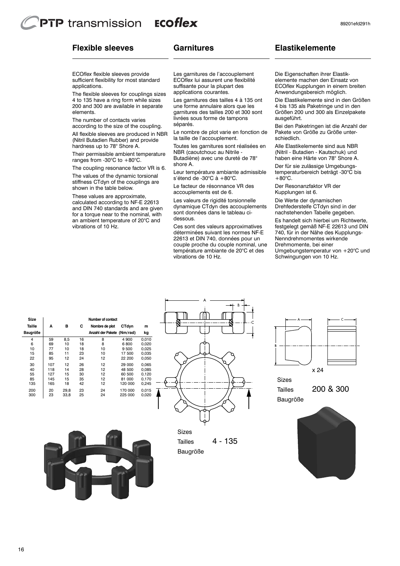ECO*flex* flexible sleeves provide sufficient flexibility for most standard

The number of contacts varies according to the size of the coupling. All flexible sleeves are produced in NBR (Nitril Butadien Rubber) and provide hardness up to 78° Shore A.

ranges from -30°C to +80°C.

shown in the table below. These values are approximate, calculated according to NF-E 22613 and DIN 740 standards and are given for a torque near to the nominal, with an ambient temperature of 20°C and

vibrations of 10 Hz.

The flexible sleeves for couplings sizes 4 to 135 have a ring form while sizes 200 and 300 are available in separate

Their permissible ambient temperature

The coupling resonance factor VR is 6. The values of the dynamic torsional stiffness CTdyn of the couplings are

applications.

elements.

# **Garnitures**

séparés.

shore A.

dessous.

vibrations de 10 Hz.

suffisante pour la plupart des applications courantes.

la taille de l'accouplement.

NBR (caoutchouc au Nitrile - Butadiène) avec une dureté de 78°

s'étend de -30°C à +80°C. Le facteur de résonnance VR des accouplements est de 6.

Les garnitures des tailles 4 à 135 ont une forme annulaire alors que les garnitures des tailles 200 et 300 sont livrées sous forme de tampons

Le nombre de plot varie en fonction de

Toutes les garnitures sont réalisées en

Leur température ambiante admissible

Les valeurs de rigidité torsionnelle dynamique CTdyn des accouplements sont données dans le tableau ci-

Ces sont des valeurs approximatives déterminées suivant les normes NF-E 22613 et DIN 740, données pour un couple proche du couple nominal, une température ambiante de 20°C et des

89201efd291h

Les garnitures de l'accouplement ECO*flex* lui assurent une flexibilité Die Eigenschaften ihrer Elastikelemente machen den Einsatz von ECO*flex* Kupplungen in einem breiten

> Die Elastikelemente sind in den Größen 4 bis 135 als Paketringe und in den Größen 200 und 300 als Einzelpakete ausgeführt.

Bei den Paketringen ist die Anzahl der Pakete von Größe zu Größe unterschiedlich.

Der für sie zulässige Umgebungstemperaturbereich beträgt -30°C bis  $+80^{\circ}$ C.

Der Resonanzfaktor VR der Kupplungen ist 6.

Die Werte der dynamischen Drehfedersteife CTdyn sind in der nachstehenden Tabelle gegeben.

Es handelt sich hierbei um Richtwerte, festgelegt gemäß NF-E 22613 und DIN 740, für in der Nähe des Kupplungs-Nenndrehmomentes wirkende Drehmomente, bei einer Schwingungen von 10 Hz.

| Size          |     |      |    | Number of contact          |              |       |
|---------------|-----|------|----|----------------------------|--------------|-------|
| <b>Taille</b> | А   | в    | с  | Nombre de plot             | <b>CTdvn</b> | m     |
| Baugröße      |     |      |    | Anzahl der Pakete (Nm/rad) |              | kg    |
| 4             | 59  | 8.5  | 16 | 8                          | 4 900        | 0.010 |
| 6             | 69  | 10   | 18 | 8                          | 6800         | 0.020 |
| 10            | 77  | 10   | 18 | 10                         | 9 500        | 0,025 |
| 15            | 85  | 11   | 23 | 10                         | 17500        | 0.035 |
| 22            | 95  | 12   | 24 | 12                         | 22 200       | 0.050 |
| 30            | 107 | 12   | 26 | 12                         | 29 000       | 0.065 |
| 40            | 118 | 14   | 28 | 12                         | 48 500       | 0.085 |
| 55            | 127 | 15   | 30 | 12                         | 60 500       | 0.120 |
| 85            | 145 | 15   | 35 | 12                         | 81 000       | 0.170 |
| 135           | 165 | 18   | 42 | 12                         | 120 000      | 0.245 |
| 200           | 20  | 29.8 | 23 | 24                         | 170 000      | 0.015 |
| 300           | 23  | 33.8 | 25 | 24                         | 225 000      | 0.020 |







Anwendungsbereich möglich.

**Elastikelemente**

Alle Elastikelemente sind aus NBR (Nitril - Butadien - Kautschuk) und haben eine Härte von 78° Shore A.

Umgebungstemperatur von +20°C und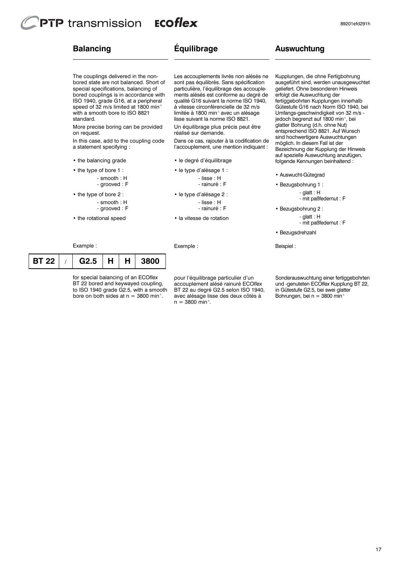The couplings delivered in the nonbored state are not balanced. Short of special specifications, balancing of bored couplings is in accordance with ISO 1940, grade G16, at a peripheral speed of 32 m/s limited at 1800 min<sup>-1</sup> with a smooth bore to ISO 8821

More precise boring can be provided

In this case, add to the coupling code

- smooth : H - grooved : F

- smooth : H - grooved : F

# **Balancing**

standard.

on request.

a statement specifying : • the balancing grade • the type of bore 1 :

• the type of bore 2 :

• the rotational speed

# **Équilibrage**

Les accouplements livrés non alésés ne sont pas équilibrés. Sans spécification particulière, l'équilibrage des accouplements alésés est conforme au degré de qualité G16 suivant la norme ISO 1940, à vitesse circonférencielle de 32 m/s limitée à 1800 min<sup>-1</sup> avec un alésage lisse suivant la norme ISO 8821.

Un équilibrage plus précis peut être réalisé sur demande.

Dans ce cas, rajouter à la codification de l'accouplement, une mention indiquant :

- le degré d'équilibrage
- le type d'alésage 1 :
	- lisse : H
	- rainuré : F
- le type d'alésage 2 :
	- lisse : H - rainuré : F
	-
- la vitesse de rotation

Exemple :

# Example : **BT 22** / **G2.5 H H 3800**

for special balancing of an ECO*flex*  BT 22 bored and keywayed coupling, to ISO 1940 grade G2.5, with a smooth bore on both sides at  $n = 3800$  min<sup>-1</sup>.

pour l'équilibrage particulier d'un accouplement alésé rainuré ECO*flex*  BT 22 au degré G2.5 selon ISO 1940, avec alésage lisse des deux côtés à  $n = 3800$  min<sup>-1</sup>.

Sonderauswuchtung einer fertiggebohrten und -genuteten ECO*flex* Kupplung BT 22, in Gütestufe G2.5, bei swei glatter Bohrungen, bei n = 3800 min<sup>-1.</sup>

**Auswuchtung**

Kupplungen, die ohne Fertigbohrung ausgeführt sind, werden unausgewuchtet geliefert. Ohne besonderen Hinweis erfolgt die Auswuchtung der fertiggebohrten Kupplungen innerhalb Gütestufe G16 nach Norm ISO 1940, bei Umfangs-geschwindigkeit von 32 m/s jedoch begrenzt auf 1800 min-1, bei glatter Bohrung (d.h. ohne Nut) entsprechend ISO 8821. Auf Wunsch sind hochwertigere Auswuchtungen möglich. In diesem Fall ist der Bezeichnung der Kupplung der Hinweis auf spezielle Auswuchtung anzufügen, folgende Kennungen beinhaltend :

- Auswucht-Gütegrad
- Bezugsbohrung 1 : - glatt : H - mit paßfedernut : F
- Bezugsbohrung 2 : - glatt : H - mit paßfedernut : F
- Bezugsdrehzahl

Beispiel :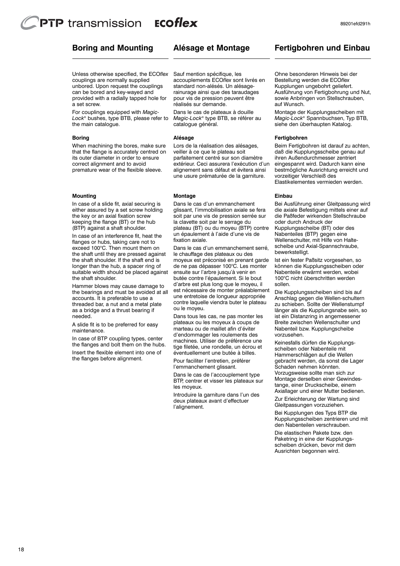# **Boring and Mounting**

# **Alésage et Montage**

Unless otherwise specified, the ECO*flex* couplings are normally supplied unbored. Upon request the couplings can be bored and key-wayed and provided with a radially tapped hole for a set screw.

For couplings equipped with *Magic-Lock®* bushes, type BTB, please refer to the main catalogue.

#### **Boring**

When machining the bores, make sure that the flange is accurately centred on its outer diameter in order to ensure correct alignment and to avoid premature wear of the flexible sleeve.

#### **Mounting**

In case of a slide fit, axial securing is either assured by a set screw holding the key or an axial fixation screw keeping the flange (BT) or the hub (BTP) against a shaft shoulder.

In case of an interference fit, heat the flanges or hubs, taking care not to exceed 100°C. Then mount them on the shaft until they are pressed against the shaft shoulder. If the shaft end is longer than the hub, a spacer ring of suitable width should be placed against the shaft shoulder.

Hammer blows may cause damage to the bearings and must be avoided at all accounts. It is preferable to use a threaded bar, a nut and a metal plate as a bridge and a thrust bearing if needed.

A slide fit is to be preferred for easy maintenance.

In case of BTP coupling types, center the flanges and bolt them on the hubs. Insert the flexible element into one of the flanges before alignment.

Sauf mention spécifique, les accouplements ECO*flex* sont livrés en standard non-alésés. Un alésagerainurage ainsi que des taraudages pour vis de pression peuvent être réalisés sur demande.

Dans le cas de plateaux à douille *Magic-Lock®* type BTB, se référer au catalogue général.

#### **Alésage**

Lors de la réalisation des alésages, veiller à ce que le plateau soit parfaitement centré sur son diamètre extérieur. Ceci assurera l'exécution d'un alignement sans défaut et évitera ainsi une usure prématurée de la garniture.

#### **Montage**

Dans le cas d'un emmanchement glissant, l'immobilisation axiale se fera soit par une vis de pression serrée sur la clavette soit par le serrage du plateau (BT) ou du moyeu (BTP) contre un épaulement à l'aide d'une vis de fixation axiale.

Dans le cas d'un emmanchement serré le chauffage des plateaux ou des moyeux est préconisé en prenant garde de ne pas dépasser 100°C. Les monter ensuite sur l'arbre jusqu'à venir en butée contre l'épaulement. Si le bout d'arbre est plus long que le moyeu, il est nécessaire de monter préalablement une entretoise de longueur appropriée contre laquelle viendra buter le plateau ou le moyeu.

Dans tous les cas, ne pas monter les plateaux ou les moyeux à coups de marteau ou de maillet afin d'éviter d'endommager les roulements des machines. Utiliser de préférence une tige filetée, une rondelle, un écrou et éventuellement une butée à billes.

Pour faciliter l'entretien, préférer l'emmanchement glissant.

Dans le cas de l'accouplement type BTP, centrer et visser les plateaux sur les moyeux.

Introduire la garniture dans l'un des deux plateaux avant d'effectuer l'alignement.

# **Fertigbohren und Einbau**

Ohne besonderen Hinweis bei der Bestellung werden die ECO*flex* Kupplungen ungebohrt geliefert. Ausführung von Fertigbohrung und Nut, sowie Anbringen von Stellschrauben, auf Wunsch.

Montage der Kupplungsscheiben mit *Magic-Lock®* Spannbuchsen, Typ BTB, siehe den überhaupten Katalog.

#### **Fertigbohren**

Beim Fertigbohren ist darauf zu achten, daß die Kupplungsscheibe genau auf ihren Außendurchmesser zentriert eingespannt wird. Dadurch kann eine bestmögliche Ausrichtung erreicht und vorzeitiger Verschleiß des Elastikelementes vermieden werden.

#### **Einbau**

Bei Ausführung einer Gleitpassung wird die axiale Befestigung mittels einer auf die Paßfeder wirkenden Stellschraube oder durch Andruck der Kupplungsscheibe (BT) oder des Nabenteiles (BTP) gegen eine Wellenschulter, mit Hilfe von Haltescheibe und Axial-Spannschraube, bewerkstelligt.

Ist ein fester Paßsitz vorgesehen, so können die Kupplungsscheiben oder Nabenteile erwärmt werden, wobei 100°C nicht überschritten werden sollen.

Die Kupplungsscheiben sind bis auf Anschlag gegen die Wellen-schultern zu schieben. Sollte der Wellenstumpf länger als die Kupplungsnabe sein, so ist ein Distanzring in angemessener Breite zwischen Wellenschulter und Nabenteil bzw. Kupplungscheibe vorzusehen.

Keinesfalls dürfen die Kupplungsscheiben oder Nabenteile mit Hammerschlägen auf die Wellen gebracht werden, da sonst die Lager Schaden nehmen könnten. Vorzugsweise sollte man sich zur Montage derselben einer Gewindestange, einer Druckscheibe, einem Axiallager und einer Mutter bedienen.

Zur Erleichterung der Wartung sind Gleitpassungen vorzuziehen.

Bei Kupplungen des Typs BTP die Kupplungsscheiben zentrieren und mit den Nabenteilen verschrauben.

Die elastischen Pakete bzw. den Paketring in eine der Kupplungsscheiben drücken, bevor mit dem Ausrichten begonnen wird.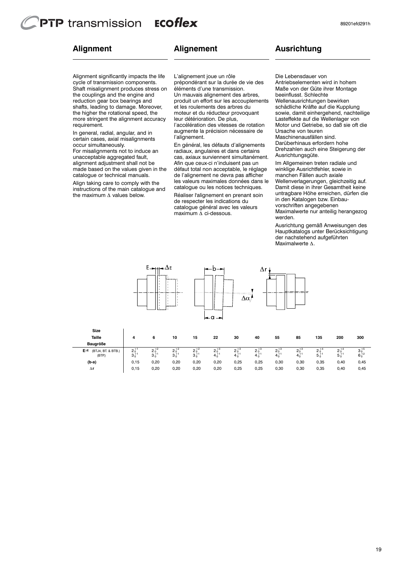cycle of transmission components.

the couplings and the engine and reduction gear box bearings and shafts, leading to damage. Moreover, the higher the rotational speed, the

In general, radial, angular, and in certain cases, axial misalignments

For misalignments not to induce an unacceptable aggregated fault, alignment adjustment shall not be made based on the values given in the catalogue or technical manuals. Align taking care to comply with the instructions of the main catalogue and the maximum Δ values below.

# **Alignment**

requirement.

occur simultaneously.

# **Alignement**

Alignment significantly impacts the life Shaft misalignment produces stress on more stringent the alignment accuracy L'alignement joue un rôle prépondérant sur la durée de vie des éléments d'une transmission. Un mauvais alignement des arbres, produit un effort sur les accouplements et les roulements des arbres du moteur et du réducteur provoquant leur détérioration. De plus, l'accélération des vitesses de rotation augmente la précision nécessaire de l'alignement.

> En général, les défauts d'alignements radiaux, angulaires et dans certains cas, axiaux surviennent simultanément. Afin que ceux-ci n'induisent pas un défaut total non acceptable, le réglage de l'alignement ne devra pas afficher les valeurs maximales données dans le catalogue ou les notices techniques. Réaliser l'alignement en prenant soin de respecter les indications du catalogue général avec les valeurs maximum Δ ci-dessous.

# **Ausrichtung**

Die Lebensdauer von Antriebselementen wird in hohem Maße von der Güte ihrer Montage beeinflusst. Schlechte Wellenausrichtungen bewirken schädliche Kräfte auf die Kupplung sowie, damit einhergehend, nachteilige Lasteffekte auf die Wellenlager von Motor und Getriebe, so daß sie oft die Ursache von teuren Maschinenausfällen sind. Darüberhinaus erfordern hohe

Drehzahlen auch eine Steigerung der Ausrichtungsgüte.

Im Allgemeinen treten radiale und winklige Ausrichtfehler, sowie in manchen Fällen auch axiale Wellenverlagerungen, gleichzeitig auf. Damit diese in ihrer Gesamtheit keine untragbare Höhe erreichen, dürfen die in den Katalogen bzw. Einbauvorschriften angegebenen Maximalwerte nur anteilig herangezog werden.

Ausrichtung gemäß Anweisungen des Hauptkatalogs unter Berücksichtigung der nachstehend aufgeführten Maximalwerte Δ.

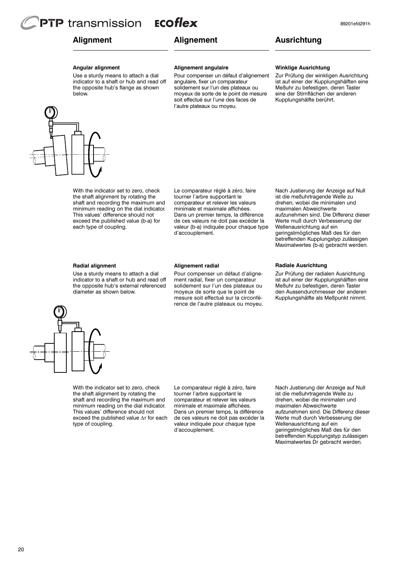# **Alignment**

# **Alignement**

# **Ausrichtung**

#### **Angular alignment**

Use a sturdy means to attach a dial indicator to a shaft or hub and read off the opposite hub's flange as shown below.



#### **Alignement angulaire**

Pour compenser un défaut d'alignement angulaire, fixer un comparateur solidement sur l'un des plateaux ou moyeux de sorte de le point de mesure soit effectué sur l'une des faces de l'autre plateaux ou moyeu.

#### **Winklige Ausrichtung**

Zur Prüfung der winkligen Ausrichtung ist auf einer der Kupplungshälften eine Meßuhr zu befestigen, deren Taster eine der Stirnflächen der anderen Kupplungshälfte berührt.

With the indicator set to zero, check the shaft alignment by rotating the shaft and recording the maximum and minimum reading on the dial indicator. This values' difference should not exceed the published value (b-a) for each type of coupling.

Le comparateur réglé à zéro, faire tourner l'arbre supportant le comparateur et relever les valeurs minimale et maximale affichées. Dans un premier temps, la différence de ces valeurs ne doit pas excéder la valeur (b-a) indiquée pour chaque type d'accouplement.

#### **Radial alignment**

Use a sturdy means to attach a dial indicator to a shaft or hub and read off the opposite hub's external referenced diameter as shown below.

#### **Alignement radial**

Pour compenser un défaut d'alignement radial, fixer un comparateur solidement sur l'un des plateaux ou moyeux de sorte que le point de mesure soit effectué sur la circonférence de l'autre plateaux ou moyeu.



#### **Radiale Ausrichtung**

Zur Prüfung der radialen Ausrichtung ist auf einer der Kupplungshälften eine Meßuhr zu befestigen, deren Taster den Aussendurchmesser der anderen Kupplungshälfte als Meßpunkt nimmt.



With the indicator set to zero, check the shaft alignment by rotating the shaft and recording the maximum and minimum reading on the dial indicator. This values' difference should not exceed the published value Δr for each type of coupling.

Le comparateur réglé à zéro, faire tourner l'arbre supportant le comparateur et relever les valeurs minimale et maximale affichées. Dans un premier temps, la différence de ces valeurs ne doit pas excéder la valeur indiquée pour chaque type d'accouplement.

Nach Justierung der Anzeige auf Null ist die meßuhrtragende Welle zu drehen, wobei die minimalen und maximalen Abweichwerte aufzunehmen sind. Die Differenz dieser Werte muß durch Verbesserung der Wellenausrichtung auf ein geringstmögliches Maß des für den betreffenden Kupplungstyp zulässigen Maximalwertes Dr gebracht werden.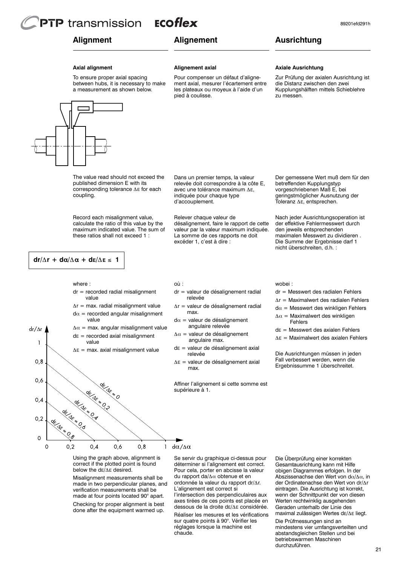# **Alignment**

# **Alignement**

**Alignement axial**

pied à coulisse.

d'accouplement.

Relever chaque valeur de

excéder 1, c'est à dire :

Pour compenser un défaut d'alignement axial, mesurer l'écartement entre les plateaux ou moyeux à l'aide d'un

Dans un premier temps, la valeur relevée doit correspondre à la côte E, avec une tolérance maximum ΔE, indiquée pour chaque type

désalignement, faire le rapport de cette valeur par la valeur maximum indiquée. La somme de ces rapports ne doit

# **Ausrichtung**

**Axiale Ausrichtung**

zu messen.

#### **Axial alignment**

To ensure proper axial spacing between hubs, it is necessary to make a measurement as shown below.

The value read should not exceed the published dimension E with its corresponding tolerance Δ<sup>E</sup> for each coupling.

Record each misalignment value, calculate the ratio of this value by the maximum indicated value. The sum of these ratios shall not exceed 1 :

$$
dr/\Delta r + d\alpha/\Delta \alpha + d\epsilon/\Delta \epsilon \leq 1
$$

 $dr/Ar$ 

 $\mathbf{1}$ 

- où :
- dr = valeur de désalignement radial relevée
- Δr = valeur de désalignement radial max.
- $d\alpha$  = valeur de désalignement angulaire relevée
- $\Delta \alpha$  = valeur de désalignement angulaire max.
- dE = valeur de désalignement axial relevée
- Δ<sup>E</sup> = valeur de désalignement axial max.

Affiner l'alignement si cette somme est supérieure à 1.

Der gemessene Wert muß dem für den betreffenden Kupplungstyp vorgeschriebenen Maß E, bei geringstmöglicher Ausnutzung der Toleranz ΔE, entsprechen.

Zur Prüfung der axialen Ausrichtung ist die Distanz zwischen den zwei Kupplungshälften mittels Schieblehre

Nach jeder Ausrichtungsoperation ist der effektive Fehlermesswert durch den jeweils entsprechenden maximalen Messwert zu dividieren . Die Summe der Ergebnisse darf 1 nicht überschreiten, d.h. :

where  $\cdot$ 

- $dr =$  recorded radial misalignment value
- $\Delta r$  = max. radial misalignment value  $d\alpha$  = recorded angular misalignment
- value  $\Delta \alpha$  = max. angular misalignment value
- $dE =$  recorded axial misalignment value

 $\Delta E$  = max. axial misalignment value



#### wobei :

- dr = Messwert des radialen Fehlers
- Δr = Maximalwert des radialen Fehlers
- $d\alpha$  = Messwert des winkligen Fehlers
- $\Delta \alpha$  = Maximalwert des winkligen Fehlers
- $dE =$  Messwert des axialen Fehlers
- Δ<sup>E</sup> = Maximalwert des axialen Fehlers

Die Ausrichtungen müssen in jeden Fall verbessert werden, wenn die Ergebnissumme 1 überschreitet.

Using the graph above, alignment is correct if the plotted point is found below the dE/Δ<sup>E</sup> desired.

Misalignment measurements shall be made in two perpendicular planes, and verification measurements shall be made at four points located 90° apart. Checking for proper alignment is best done after the equipment warmed up.

Se servir du graphique ci-dessus pour déterminer si l'alignement est correct. Pour cela, porter en abcisse la valeur du rapport da/Δα obtenue et en ordonnée la valeur du rapport dr/Δr. L'alignement est correct si

l'intersection des perpendiculaires aux axes tirées de ces points est placée en dessous de la droite dE/Δ<sup>E</sup> considérée.

Réaliser les mesures et les vérifications sur quatre points à 90°. Vérifier les réglages lorsque la machine est chaude.

Die Überprüfung einer korrekten Gesamtausrichtung kann mit Hilfe obigen Diagrammes erfolgen. In der Abszissenachse den Wert von d $\alpha/\Delta\alpha$ , in der Ordinatenachse den Wert von dr/Δr eintragen. Die Ausrichtung ist korrekt, wenn der Schnittpunkt der von diesen Werten rechtwinklig ausgehenden Geraden unterhalb der Linie des maximal zulässigen Wertes dE/Δ<sup>E</sup> liegt.

Die Prüfmessungen sind an mindestens vier umfangsverteilten und abstandsgleichen Stellen und bei betriebswarmen Maschinen durchzuführen.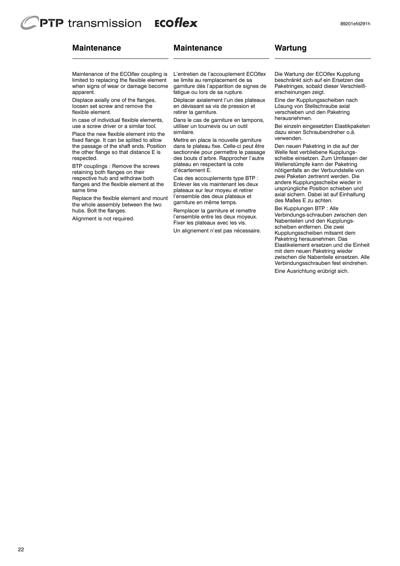# **Maintenance**

### **Maintenance**

# **Wartung**

Maintenance of the ECO*flex* coupling is limited to replacing the flexible element when signs of wear or damage become apparent.

Displace axially one of the flanges, loosen set screw and remove the flexible element.

In case of individual flexible elements, use a screw driver or a similar tool.

Place the new flexible element into the fixed flange. It can be splited to allow the passage of the shaft ends. Position the other flange so that distance E is respected.

BTP couplings : Remove the screws retaining both flanges on their respective hub and withdraw both flanges and the flexible element at the same time

Replace the flexible element and mount the whole assembly between the two hubs. Bolt the flanges.

Alignment is not required.

L'entretien de l'accouplement ECO*flex* se limite au remplacement de sa garniture dès l'apparition de signes de fatigue ou lors de sa rupture.

Déplacer axialement l'un des plateaux en dévissant sa vis de pression et retirer la garniture.

Dans le cas de garniture en tampons, utiliser un tournevis ou un outil similaire.

Mettre en place la nouvelle garniture dans le plateau fixe. Celle-ci peut être sectionnée pour permettre le passage des bouts d'arbre. Rapprocher l'autre plateau en respectant la cote d'écartement E.

Cas des accouplements type BTP : Enlever les vis maintenant les deux plateaux sur leur moyeu et retirer l'ensemble des deux plateaux et garniture en même temps.

Remplacer la garniture et remettre l'ensemble entre les deux moyeux. Fixer les plateaux avec les vis.

Un alignement n'est pas nécessaire.

Die Wartung der ECO*flex* Kupplung beschränkt sich auf ein Ersetzen des Paketringes, sobald dieser Verschleißerscheinungen zeigt.

89201efd291h

Eine der Kupplungsscheiben nach Lösung von Stellschraube axial verschieben und den Paketring herausnehmen.

Bei einzeln eingesetzten Elastikpaketen dazu einen Schraubendreher o.ä. verwenden.

Den neuen Paketring in die auf der Welle fest verbliebene Kupplungsscheibe einsetzen. Zum Umfassen der Wellenstümpfe kann der Paketring nötigenfalls an der Verbundstelle von zwei Paketen zertrennt werden. Die andere Kupplungsscheibe wieder in ursprüngliche Position schieben und axial sichern. Dabei ist auf Einhaltung des Maßes E zu achten.

Bei Kupplungen BTP : Alle Verbindungs-schrauben zwischen den Nabenteilen und den Kupplungsscheiben entfernen. Die zwei Kupplungsscheiben mitsamt dem Paketring herausnehmen. Das Elastikelement ersetzen und die Einheit mit dem neuen Paketring wieder zwischen die Nabenteile einsetzen. Alle Verbindungsschrauben fest eindrehen.

Eine Ausrichtung erübrigt sich.

22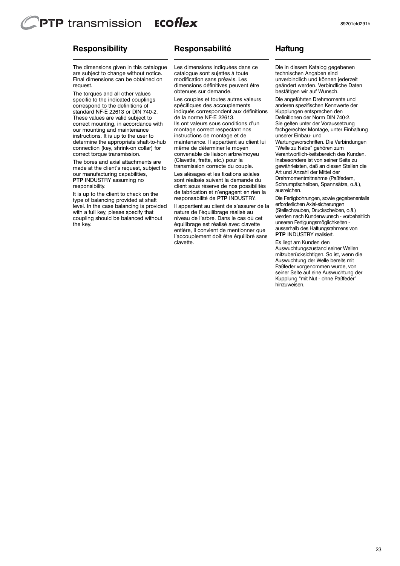### ECOflex **PTP** transmission

# **Responsibility**

The dimensions given in this catalogue are subject to change without notice. Final dimensions can be obtained on request.

The torques and all other values specific to the indicated couplings correspond to the definitions of standard NF-E 22613 or DIN 740-2. These values are valid subject to correct mounting, in accordance with our mounting and maintenance instructions. It is up to the user to determine the appropriate shaft-to-hub connection (key, shrink-on collar) for correct torque transmission.

The bores and axial attachments are made at the client's request, subject to our manufacturing capabilities, **PTP** INDUSTRY assuming no responsibility.

It is up to the client to check on the type of balancing provided at shaft level. In the case balancing is provided with a full key, please specify that coupling should be balanced without the key.

# **Responsabilité**

Les dimensions indiquées dans ce catalogue sont sujettes à toute modification sans préavis. Les dimensions définitives peuvent être obtenues sur demande.

Les couples et toutes autres valeurs spécifiques des accouplements indiqués correspondent aux définitions de la norme NF-E 22613. Ils ont valeurs sous conditions d'un montage correct respectant nos instructions de montage et de maintenance. Il appartient au client lui même de déterminer le moyen convenable de liaison arbre/moyeu (Clavette, frette, etc.) pour la transmission correcte du couple.

Les alésages et les fixations axiales sont réalisés suivant la demande du client sous réserve de nos possibilités de fabrication et n'engagent en rien la responsabilité de **PTP** INDUSTRY.

Il appartient au client de s'assurer de la nature de l'équilibrage réalisé au niveau de l'arbre. Dans le cas où cet équilibrage est réalisé avec clavette entière, il convient de mentionner que l'accouplement doit être équilibré sans clavette.

# **Haftung**

Die in diesem Katalog gegebenen technischen Angaben sind unverbindlich und können jederzeit geändert werden. Verbindliche Daten bestätigen wir auf Wunsch.

Die angeführten Drehmomente und anderen spezifischen Kennwerte der Kupplungen entsprechen den Definitionen der Norm DIN 740-2. Sie gelten unter der Voraussetzung fachgerechter Montage, unter Einhaltung unserer Einbau- und

Wartungsvorschriften. Die Verbindungen "Welle zu Nabe" gehören zum Verantwortlich-keitsbereich des Kunden. Insbesondere ist von seiner Seite zu gewährleisten, daß an diesen Stellen die Art und Anzahl der Mittel der Drehmomentmitnahme (Paßfedern, Schrumpfscheiben, Spannsätze, o.ä.), ausreichen.

Die Fertigbohrungen, sowie gegebenenfalls erforderlichen Axial-sicherungen (Stellschrauben, Druckscheiben, o.ä.) werden nach Kundenwunsch - vorbehaltlich unseren Fertigungsmöglichkeiten ausserhalb des Haftungsrahmens von **PTP** INDUSTRY realisiert.

Es liegt am Kunden den Auswuchtungszustand seiner Wellen mitzuberücksichtigen. So ist, wenn die Auswuchtung der Welle bereits mit Paßfeder vorgenommen wurde, von seiner Seite auf eine Auswuchtung der Kupplung "mit Nut - ohne Paßfeder" hinzuweisen.